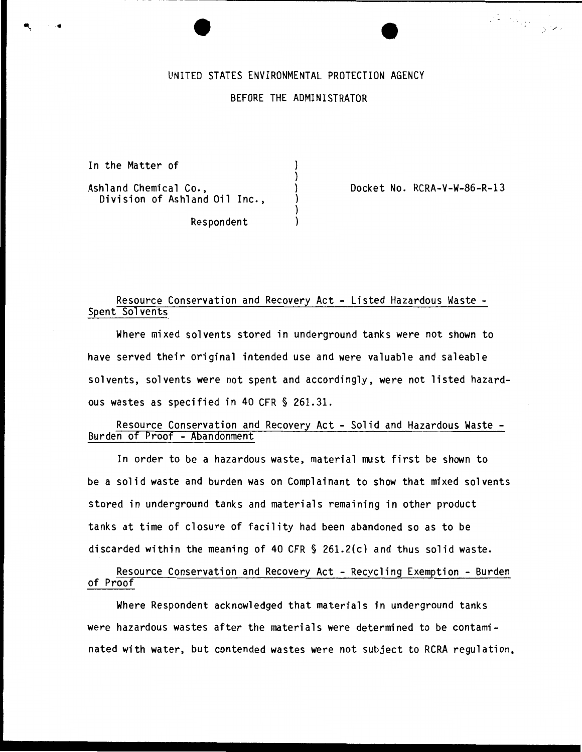# UNITED STATES ENVIRONMENTAL PROTECTION AGENCY

#### BEFORE THE ADMINISTRATOR

) ) ) ) ) )

In the Matter of

Ashland Chemical Co., Division of Ashland Oil Inc., Docket No. RCRA-V-W-86-R-13

·, - / '

Respondent

# Resource Conservation and Recovery Act - Listed Hazardous Waste - Spent Solvents

Where mixed solvents stored in underground tanks were not shown to have served their original intended use and were valuable and saleable solvents, solvents were not spent and accordingly, were not listed hazardous wastes as specified in 40 CFR § 261.31.

## Resource Conservation and Recovery Act- Solid and Hazardous Waste-Burden of Proof - Abandonment

In order to be a hazardous waste, material must first be shown to be a solid waste and burden was on Complainant to show that mixed solvents stored in underground tanks and materials remaining in other product tanks at time of closure of facility had been abandoned so as to be discarded within the meaning of 40 CFR § 261.2(c) and thus solid waste.

Resource Conservation and Recovery Act - Recycling Exemption - Burden of Proof

Where Respondent acknowledged that materials in underground tanks were hazardous wastes after the materials were determined to be contaminated with water, but contended wastes were not subject to RCRA regulation,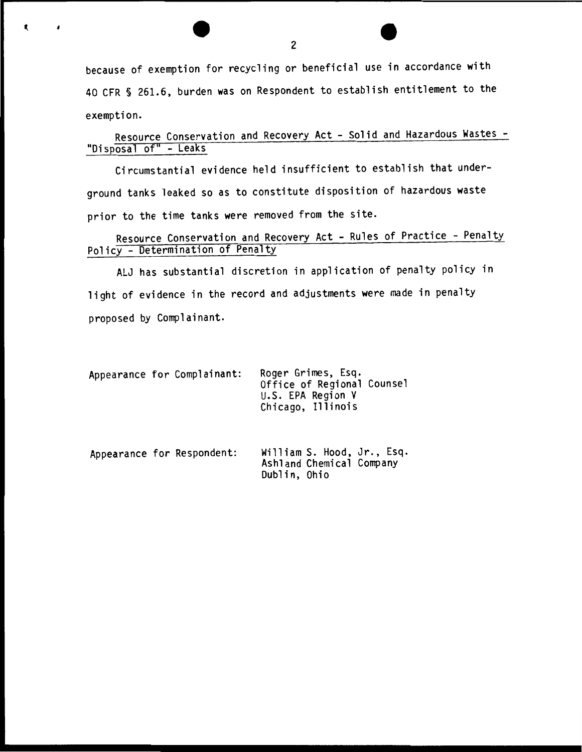because of exemption for recycling or beneficial use in accordance with 40 CFR § 261.6, burden was on Respondent to establish entitlement to the exemption.

Resource Conservation and Recovery Act- Solid and Hazardous Wastes- "Disposal of" - Leaks

Circumstantial evidence held insufficient to establish that underground tanks leaked so as to constitute disposition of hazardous waste prior to the time tanks were removed from the site.

Resource Conservation and Recovery Act - Rules of Practice - Penalty Policy- Determination of Penalty

ALJ has substantial discretion in application of penalty policy in light of evidence in the record and adjustments were made in penalty proposed by Complainant.

Dublin, Ohio

| Appearance for Complainant: | Roger Grimes, Esq.<br>Office of Regional Counsel<br>U.S. EPA Region V<br>Chicago, Illinois |
|-----------------------------|--------------------------------------------------------------------------------------------|
| Appearance for Respondent:  | William S. Hood, Jr., Esq.<br>Ashland Chemical Company                                     |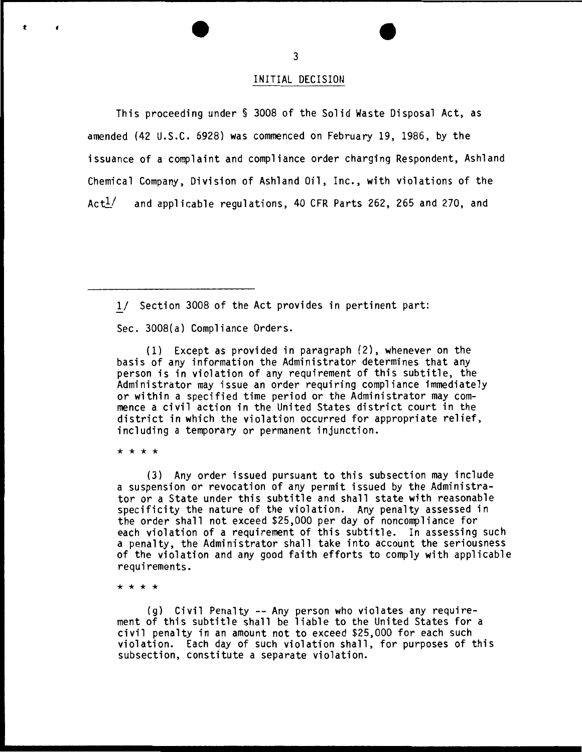This proceeding under§ 3008 of the Solid Waste Disposal Act, as amended (42 U.S.C. 6928) was commenced on February 19, 1986, by the issuance of a complaint and compliance order charging Respondent, Ashland Chemical Company, Division of Ashland Oil, Inc., with violations of the  $Act^{1/2}$  and applicable regulations, 40 CFR Parts 262, 265 and 270, and

1/ Section 3008 of the Act provides in pertinent part:

Sec. 3008(a) Compliance Orders.

(1) Except as provided in paragraph (2), whenever on the basis of any information the Administrator determines that any person is in violation of any requirement of this subtitle, the Administrator may issue an order requiring compliance immediately or within a specified time period or the Administrator may commence a civil action in the United States district court in the district in which the violation occurred for appropriate relief, including a temporary or permanent injunction.

\* \* \* \*

t

f

(3) Any order issued pursuant to this subsection may include a suspension or revocation of any permit issued by the Administrator or a State under this subtitle and shall state with reasonable specificity the nature of the violation. Any penalty assessed in the order shall not exceed \$25,000 per day of noncompliance for each violation of a requirement of this subtitle. In assessing such a penalty, the Administrator shall take into account the seriousness of the violation and any good faith efforts to comply with applicable requirements.

\* \* \* \*

(g) Civil Penalty -- Any person who violates any requirement of this subtitle shall be liable to the United States for a civil penalty in an amount not to exceed \$25,000 for each such violation. Each day of such violation shall, for purposes of this subsection, constitute a separate violation.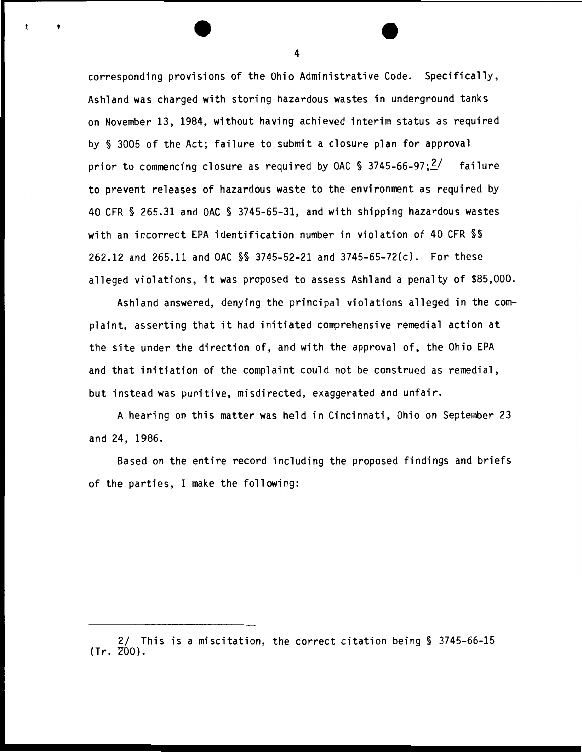corresponding provisions of the Ohio Administrative Code. Specifically, Ashland was charged with storing hazardous wastes in underground tanks on November 13, 1984, without having achieved interim status as required by § 3005 of the Act; failure to submit a closure plan for approval prior to commencing closure as required by OAC § 3745-66-97; $\frac{2}{}$  failure to prevent releases of hazardous waste to the environment as required by 40 CFR § 265.31 and OAC § 3745-65-31, and with shipping hazardous wastes with an incorrect EPA identification number in violation of 40 CFR §§ 262.12 and 265.11 and OAC §§ 3745-52-21 and 3745-65-72(c). For these alleged violations, it was proposed to assess Ashland a penalty of \$85,000.

Ashland answered, denying the principal violations alleged in the complaint, asserting that it had initiated comprehensive remedial action at the site under the direction of, and with the approval of, the Ohio EPA and that initiation of the complaint could not be construed as remedial, but instead was punitive, misdirected, exaggerated and unfair.

A hearing on this matter was held in Cincinnati, Ohio on September 23 and 24, 1986.

Based on the entire record including the proposed findings and briefs of the parties, I make the following:

4

t

<sup>2/</sup> This is a miscitation, the correct citation being § 3745-66-15  $(Tr. 700).$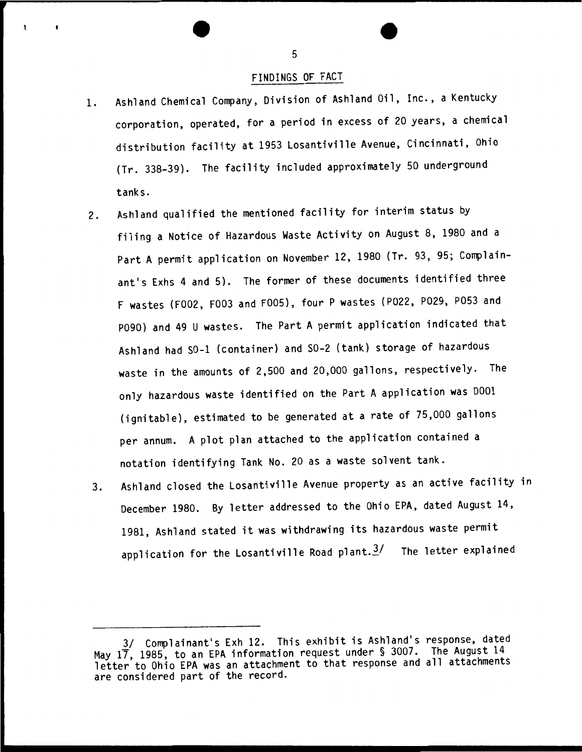### FINDINGS OF FACT

- 1. Ashland Chemical Company, Division of Ashland Oil, Inc., a Kentucky corporation, operated, for a period in excess of 20 years, a chemical distribution facility at 1953 Losantiville Avenue, Cincinnati, Ohio (Tr. 338-39). The facility included approximately 50 underground tanks.
- 2. Ashland qualified the mentioned facility for interim status by filing a Notice of Hazardous Waste Activity on August 8, 1980 and a Part A permit application on November 12, 1980 (Tr. 93, 95; Complainant's Exhs 4 and 5). The former of these documents identified three F wastes (F002, F003 and F005), four P wastes (P022, P029, P053 and P090) and 49 U wastes. The Part A permit application indicated that Ashland had SO-l (container) and S0-2 (tank) storage of hazardous waste in the amounts of 2,500 and 20,000 gallons, respectively. The only hazardous waste identified on the Part A application was D001 (ignitable), estimated to be generated at a rate of 75,000 gallons per annum. A plot plan attached to the application contained a notation identifying Tank No. 20 as a waste solvent tank.
- 3. Ashland closed the Losantiville Avenue property as an active facility in December 1980. By letter addressed to the Ohio EPA, dated August 14, 1981, Ashland stated it was withdrawing its hazardous waste permit application for the Losantiville Road plant. $3/$  The letter explained

<sup>3/</sup> Complainant's Exh 12. This exhibit is Ashland's response, dated May 17, 1985, to an EPA information request under § 3007. The August 14 May 17, 1983, to all EFA fillocalized the equipment for the exponse and all attachments are considered part of the record.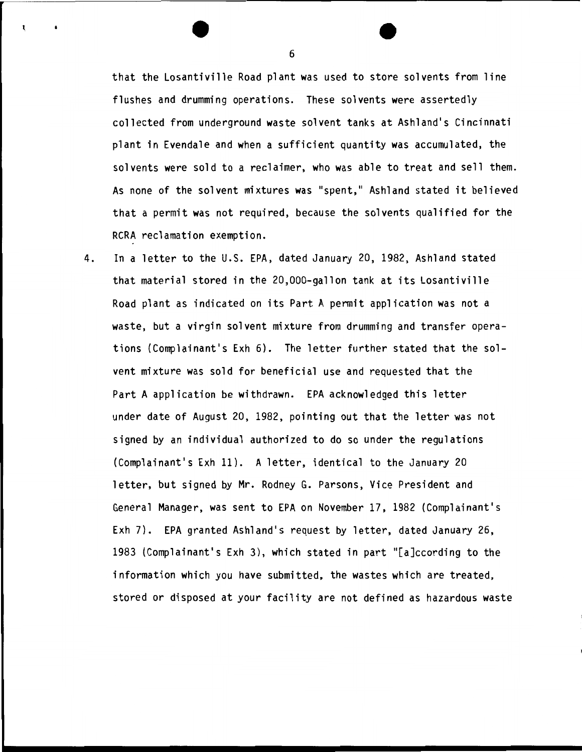that the Losantiville Road plant was used to store solvents from line flushes and drumming operations. These solvents were assertedly collected from underground waste solvent tanks at Ashland's Cincinnati plant in Evendale and when a sufficient quantity was accumulated, the solvents were sold to a reclaimer, who was able to treat and sell them. As none of the solvent mixtures was "spent," Ashland stated it believed that a permit was not required, because the solvents qualified for the RCRA reclamation exemption.

4. In a letter to the U.S. EPA, dated January 20, 1982, Ashland stated that material stored in the 20,000-gallon tank at its Losantiville Road plant as indicated on its Part A permit application was not a waste, but a virgin solvent mixture from drumming and transfer operations (Complainant's Exh 6). The letter further stated that the solvent mixture was sold for beneficial use and requested that the Part A application be withdrawn. EPA acknowledged this letter under date of August 20, 1982, pointing out that the letter was not signed by an individual authorized to do so under the regulations (Complainant's Exh 11). A letter, identical to the January 20 letter, but signed by Mr. Rodney G. Parsons, Vice President and General Manager, was sent to EPA on November 17, 1982 {Complainant's Exh 7). EPA granted Ashland's request by letter, dated January 26, 1983 (Complainant's Exh 3), which stated in part "[a]ccording to the information which you have submitted, the wastes which are treated, stored or disposed at your facility are not defined as hazardous waste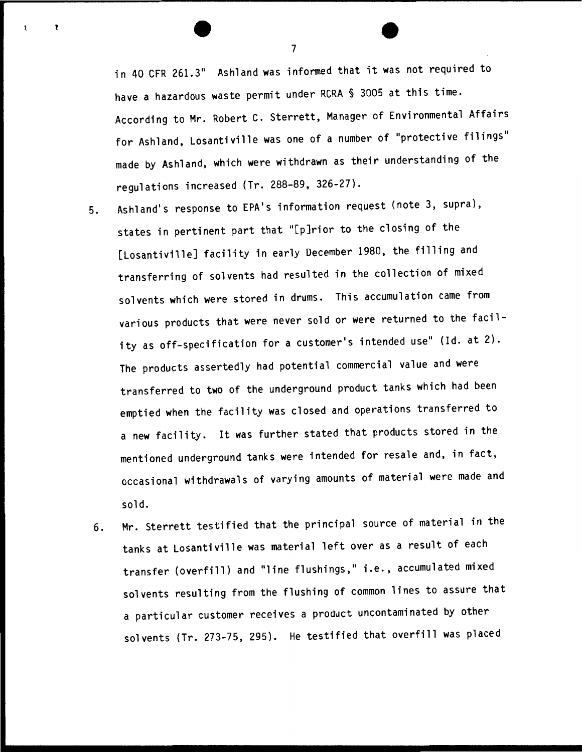in 40 CFR 261.3" Ashland was informed that it was not required to have a hazardous waste permit under RCRA § 3005 at this time. According to Mr. Robert C. Sterrett, Manager of Environmental Affairs for Ashland, Losantiville was one of a number of "protective filings'' made by Ashland, which were withdrawn as their understanding of the regulations increased (Tr. 288-89, 326-27).

- 5. Ashland's response to EPA's information request (note 3, supra), states in pertinent part that "[p]rior to the closing of the [Losantiville] facility in early December 1980, the filling and transferring of solvents had resulted in the collection of mixed solvents which were stored in drums. This accumulation came from various products that were never sold or were returned to the facility as off-specification for a customer's intended use" (Id. at 2). The products assertedly had potential commercial value and were transferred to two of the underground product tanks which had been emptied when the facility was closed and operations transferred to a new facility. It was further stated that products stored in the mentioned underground tanks were intended for resale and, in fact, occasional withdrawals of varying amounts of material were made and sold.
- 6. Mr. Sterrett testified that the principal source of material in the tanks at Losantiville was material left over as a result of each transfer (overfill) and "line flushings," i.e., accumulated mixed solvents resulting from the flushing of common lines to assure that a particular customer receives a product uncontaminated by other solvents (Tr. 273-75, 295). He testified that overfill was placed

7

l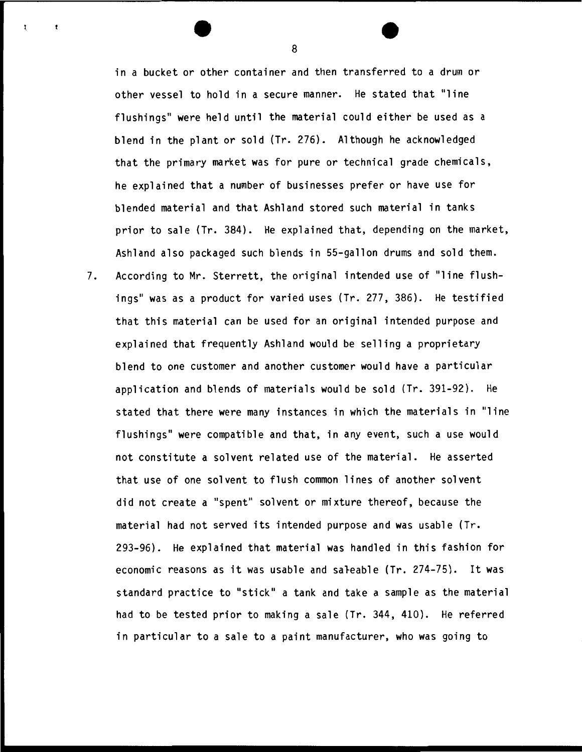in a bucket or other container and then transferred to a drum or other vessel to hold in a secure manner. He stated that "line flushings" were held until the material could either be used as a blend in the plant or sold (Tr. 276). Although he acknowledged that the primary market was for pure or technical grade chemicals, he explained that a number of businesses prefer or have use for blended material and that Ashland stored such material in tanks prior to sale (Tr. 384). He explained that, depending on the market, Ashland also packaged such blends in 55-gallon drums and sold them.

7. According to Mr. Sterrett, the original intended use of "line flushings" was as a product for varied uses (Tr. 277, 386). He testified that this material can be used for an original intended purpose and explained that frequently Ashland would be selling a proprietary blend to one customer and another customer would have a particular application and blends of materials would be sold (Tr. 391-92). He stated that there were many instances in which the materials in "line flushings" were compatible and that, in any event, such a use would not constitute a solvent related use of the material. He asserted that use of one solvent to flush common lines of another solvent did not create a "spent" solvent or mixture thereof, because the material had not served its intended purpose and was usable (Tr. 293-96). He explained that material was handled in this fashion for economic reasons as it was usable and saleable (Tr. 274-75). It was standard practice to "stick" a tank and take a sample as the material had to be tested prior to making a sale (Tr. 344, 410). He referred in particular to a sale to a paint manufacturer, who was going to

8

ŧ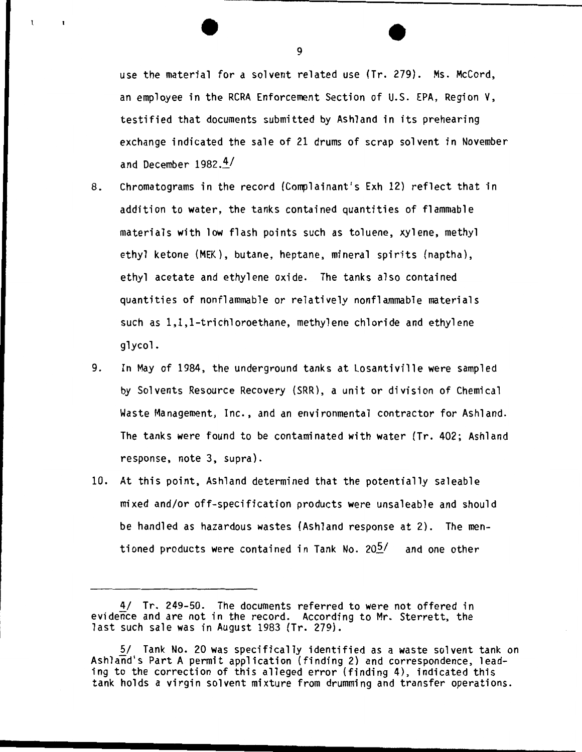use the material for a solvent related use (Tr. 279). Ms. McCord, an employee in the RCRA Enforcement Section of U.S. EPA, Region V, testified that documents submitted by Ashland in its prehearing exchange indicated the sale of 21 drums of scrap solvent in November and December  $1982.4/$ 

- 8. Chromatograms in the record (Complainant's Exh 12) reflect that in addition to water, the tanks contained quantities of flammable materials with low flash points such as toluene, xylene, methyl ethyl ketone (MEK), butane, heptane, mineral spirits (naptha), ethyl acetate and ethylene oxide. The tanks also contained quantities of nonflammable or relatively nonflammable materials such as 1,1,1-trichloroethane, methylene chloride and ethylene glycol.
- 9. In May of 1984, the underground tanks at Losantiville were sampled by Solvents Resource Recovery (SRR), a unit or division of Chemical Waste Management, Inc., and an environmental contractor for Ashland. The tanks were found to be contaminated with water (Tr. 402; Ashland response, note 3, supra).
- 10. At this point, Ashland determined that the potentially saleable mixed and/or off-specification products were unsaleable and should be handled as hazardous wastes (Ashland response at 2). The mentioned products were contained in Tank No.  $20\frac{1}{2}$  and one other

<sup>4/</sup> Tr. 249-50. The documents referred to were not offered in evidence and are not in the record. According to Mr. Sterrett, the last such sale was in August 1983 (Tr. 279).

<sup>5/</sup> Tank No. 20 was specifically identified as a waste solvent tank on Ashland's Part A permit application (finding 2) and correspondence, leading to the correction of this alleged error (finding 4), indicated this tank holds a virgin solvent mixture from drumming and transfer operations.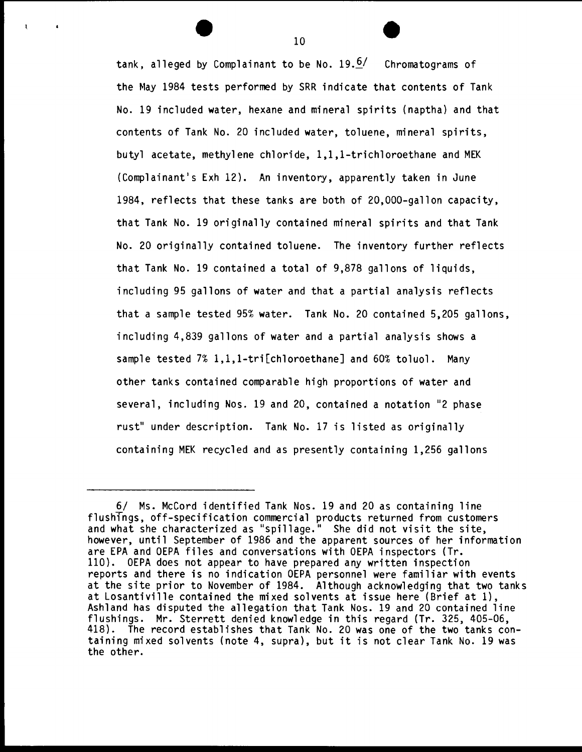tank, alleged by Complainant to be No.  $19.6/$  Chromatograms of the May 1984 tests performed by SRR indicate that contents of Tank No. 19 included water, hexane and mineral spirits (naptha) and that contents of Tank No. 20 included water, toluene, mineral spirits, butyl acetate, methylene chloride, 1,1,1-trichloroethane and MEK (Complainant's Exh 12). An inventory, apparently taken in June 1984, reflects that these tanks are both of 20,000-gallon capacity, that Tank No. 19 originally contained mineral spirits and that Tank No. 20 originally contained toluene. The inventory further reflects that Tank No. 19 contained a total of 9,878 gallons of liquids, including 95 gallons of water and that a partial analysis reflects that a sample tested 95% water. Tank No. 20 contained 5,205 gallons, including 4,839 gallons of water and a partial analysis shows a sample tested 7% 1,1,1-tri[chloroethane] and 60% toluol. Many other tanks contained comparable high proportions of water and several, including Nos. 19 and 20, contained a notation "2 phase rust" under description. Tank No. 17 is listed as originally containing MEK recycled and as presently containing 1,256 gallons

10

 $\mathbf{I}$ 

<sup>6/</sup> Ms. McCord identified Tank Nos. 19 and 20 as containing line flushings, off-specification commercial products returned from customers and what she characterized as "spillage." She did not visit the site, however, until September of 1986 and the apparent sources of her information are EPA and OEPA files and conversations with OEPA inspectors (Tr. 110). OEPA does not appear to have prepared any written inspection reports and there is no indication OEPA personnel were familiar with events at the site prior to November of 1984. Although acknowledging that two tanks at Losantiville contained the mixed solvents at issue here (Brief at 1), Ashland has disputed the allegation that Tank Nos. 19 and 20 contained line flushings. Mr. Sterrett denied knowledge in this regard (Tr. 325, 405-06, 418). The record establishes that Tank No. 20 was one of the two tanks containing mixed solvents (note 4, supra), but it is not clear Tank No. 19 was the other.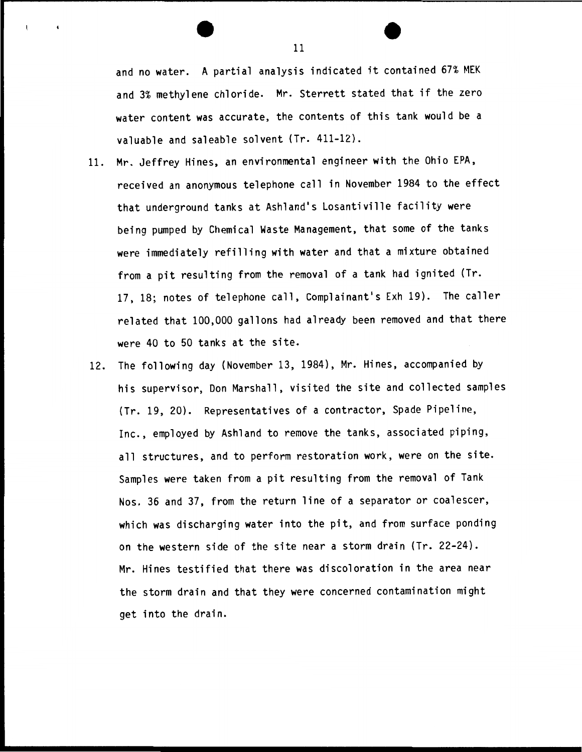and no water. A partial analysis indicated it contained 67% MEK and 3% methylene chloride. Mr. Sterrett stated that if the zero water content was accurate, the contents of this tank would be a valuable and saleable solvent (Tr. 411-12).

- 11. Mr. Jeffrey Hines, an environmental engineer with the Ohio EPA, received an anonymous telephone call in November 1984 to the effect that underground tanks at Ashland's Losantiville facility were being pumped by Chemical Waste Management, that some of the tanks were immediately refilling with water and that a mixture obtained from a pit resulting from the removal of a tank had ignited (Tr. 17, 18; notes of telephone call, Complainant's Exh 19). The caller related that 100,000 gallons had already been removed and that there were 40 to 50 tanks at the site.
- 12. The following day (November 13, 1984), Mr. Hines, accompanied by his supervisor, Don Marshall, visited the site and collected samples (Tr. 19, 20). Representatives of a contractor, Spade Pipeline, Inc., employed by Ashland to remove the tanks, associated piping, all structures, and to perform restoration work, were on the site. Samples were taken from a pit resulting from the removal of Tank Nos. 36 and 37, from the return line of a separator or coalescer, which was discharging water into the pit, and from surface ponding on the western side of the site near a storm drain (Tr. 22-24). Mr. Hines testified that there was discoloration in the area near the storm drain and that they were concerned contamination might get into the drain.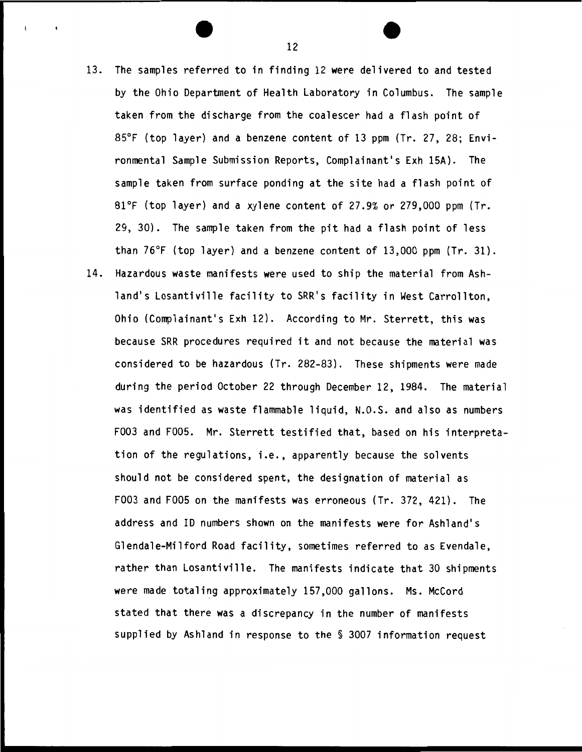- 13. The samples referred to in finding 12 were delivered to and tested by the Ohio Department of Health Laboratory in Columbus. The sample taken from the discharge from the coalescer had a flash point of 85°F (top layer) and a benzene content of 13 ppm (Tr. 27, 28; Environmental Sample Submission Reports, Complainant's Exh 15A). The sample taken from surface ponding at the site had a flash point of 81°F (top layer) and a xylene content of 27.9% or 279,000 ppm (Tr. 29, 30). The sample taken from the pit had a flash point of less than 76°F (top layer) and a benzene content of 13,000 ppm (Tr. 31).
- 14. Hazardous waste manifests were used to ship the material from Ashland's Losantiville facility to SRR's facility in West Carrollton, Ohio (Complainant's Exh 12). According to Mr. Sterrett, this was because SRR procedures required it and not because the material was considered to be hazardous (Tr. 282-83). These shipments were made during the period October 22 through December 12, 1984. The material was identified as waste flammable liquid, N.O.S. and also as numbers F003 and F005. Mr. Sterrett testified that, based on his interpretation of the regulations, i.e., apparently because the solvents should not be considered spent, the designation of material as F003 and FOOS on the manifests was erroneous (Tr. 372, 421). The address and ID numbers shown on the manifests were for Ashland's Glendale-Milford Road facility, sometimes referred to as Evendale, rather than Losantiville. The manifests indicate that 30 shipments were made totaling approximately 157,000 gallons. Ms. McCord stated that there was a discrepancy in the number of manifests supplied by Ashland in response to the § 3007 information request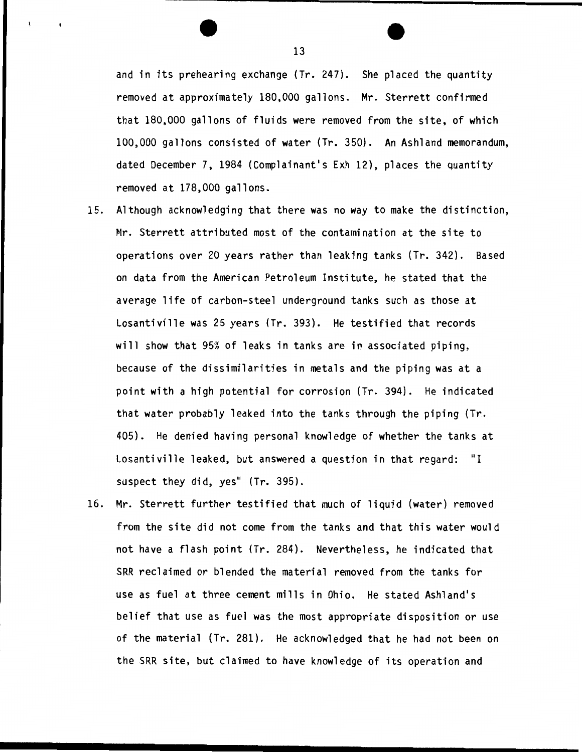and in its prehearing exchange (Tr. 247). She placed the quantity removed at approximately 180,000 gallons. Mr. Sterrett confirmed that 180,000 gallons of fluids were removed from the site, of which 100,000 gallons consisted of water (Tr. 350). An Ashland memorandum, dated December 7, 1984 (Complainant's Exh 12), places the quantity removed at 178,000 gallons.

- 15. Although acknowledging that there was no way to make the distinction, Mr. Sterrett attributed most of the contamination at the site to operations over 20 years rather than leaking tanks (Tr. 342). Based on data from the American Petroleum Institute, he stated that the average life of carbon-steel underground tanks such as those at Losantiville was 25 years (Tr. 393). He testified that records will show that 95% of leaks in tanks are in associated piping, because of the dissimilarities in metals and the piping was at a point with a high potential for corrosion (Tr. 394). He indicated that water probably leaked into the tanks through the piping (Tr. 405). He denied having personal knowledge of whether the tanks at Losantiville leaked, but answered a question in that regard: "I suspect they did, yes" (Tr. 395).
- 16. Mr. Sterrett further testified that much of liquid (water) removed from the site did not come from the tanks and that this water would not have a flash point (Tr. 284). Nevertheless, he indicated that SRR reclaimed or blended the material removed from the tanks for use as fuel at three cement mills in Ohio. He stated Ashland's belief that use as fuel was the most appropriate disposition or use of the material (Tr. 281). He acknowledged that he had not been on the SRR site, but claimed to have knowledge of its operation and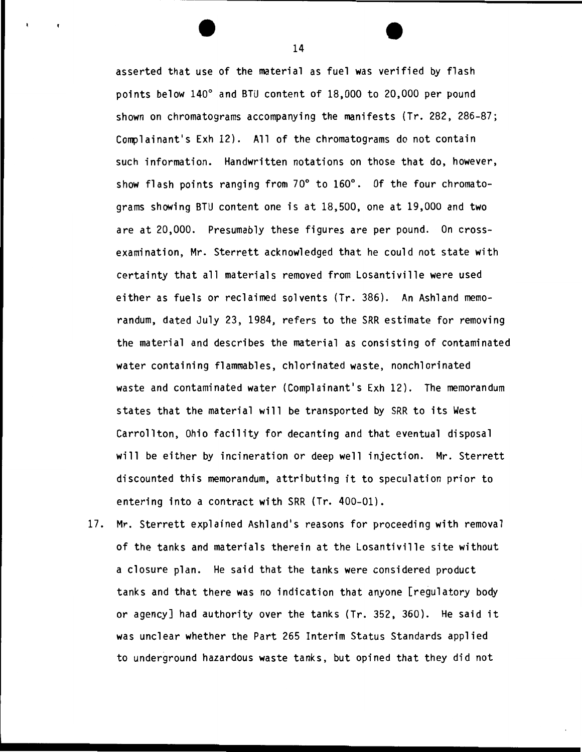asserted that use of the material as fuel was verified by flash points below 140° and BTU content of 18,000 to 20,000 per pound shown on chromatograms accompanying the manifests (Tr. 282, 286-87; Complainant's Exh 12). All of the chromatograms do not contain such information. Handwritten notations on those that do, however, show flash points ranging from 70° to 160°. Of the four chromatograms showing BTU content one is at 18,500, one at 19,000 and two are at 20,000. Presumably these figures are per pound. On crossexamination, Mr. Sterrett acknowledged that he could not state with certainty that all materials removed from Losantiville were used either as fuels or reclaimed solvents (Tr. 386). An Ashland memorandum, dated July 23, 1984, refers to the SRR estimate for removing the material and describes the material as consisting of contaminated water containing flammables, chlorinated waste, nonchlorinated waste and contaminated water (Complainant's Exh 12). The memorandum states that the material will be transported by SRR to its West Carrollton, Ohio facility for decanting and that eventual disposal will be either by incineration or deep well injection. Mr. Sterrett discounted this memorandum, attributing it to speculation prior to entering into a contract with SRR (Tr. 400-01).

17. Mr. Sterrett explained Ashland's reasons for proceeding with removal of the tanks and materials therein at the Losantiville site without a closure plan. He said that the tanks were considered product tanks and that there was no indication that anyone [regulatory body or agency] had authority over the tanks (Tr. 352, 360). He said it was unclear whether the Part 265 Interim Status Standards applied to underground hazardous waste tanks, but opined that they did not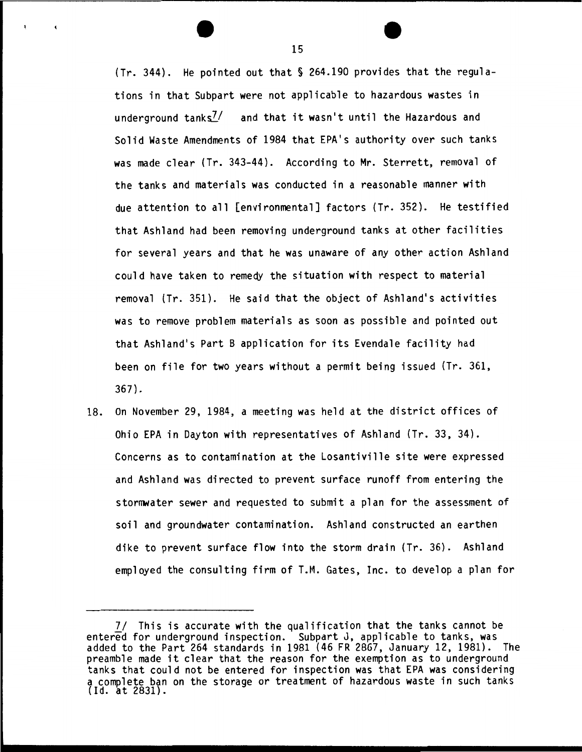(Tr. 344). He pointed out that§ 264.190 provides that the regulations in that Subpart were not applicable to hazardous wastes in underground tanks<sup>7/</sup> and that it wasn't until the Hazardous and Solid Waste Amendments of 1984 that EPA's authority over such tanks was made clear (Tr. 343-44). According to Mr. Sterrett, removal of the tanks and materials was conducted in a reasonable manner with due attention to all [environmental] factors (Tr. 352). He testified that Ashland had been removing underground tanks at other facilities for several years and that he was unaware of any other action Ashland could have taken to remeqy the situation with respect to material removal (Tr. 351). He said that the object of Ashland's activities was to remove problem materials as soon as possible and pointed out that Ashland•s Part B application for its Evendale facility had been on file for two years without a permit being issued (Tr. 361, 367).

18. On November 29, 1984, a meeting was held at the district offices of Ohio EPA in Dayton with representatives of Ashland (Tr. 33, 34). Concerns as to contamination at the Losantiville site were expressed and Ashland was directed to prevent surface runoff from entering the stormwater sewer and requested to submit a plan for the assessment of soil and groundwater contamination. Ashland constructed an earthen dike to prevent surface flow into the storm drain (Tr. 36). Ashland employed the consulting firm of T.M. Gates, Inc. to develop a plan for

*<sup>71</sup>* This is accurate with the qualification that the tanks cannot be entered for underground inspection. Subpart J, applicable to tanks, was added to the Part 264 standards in 1981 (46 FR 2867, January 12, 1981). The preamble made it clear that the reason for the exemption as to underground tanks that could not be entered for inspection was that EPA was considering a complete ban on the storage or treatment of hazardous waste in such tanks  $(1d. at 2831).$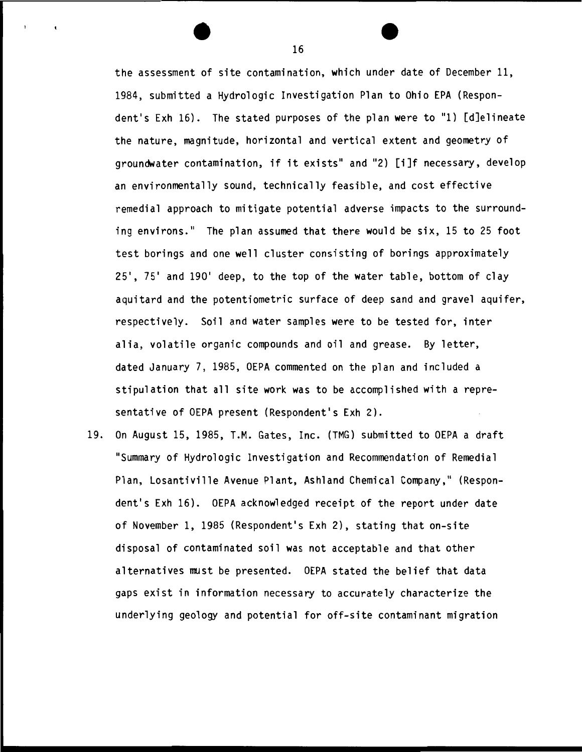the assessment of site contamination, which under date of December 11, 1984, submitted a Hydrologic Investigation Plan to Ohio EPA (Respondent's Exh 16). The stated purposes of the plan were to "1) [d]elineate the nature, magnitude, horizontal and vertical extent and geometry of groundwater contamination, if it exists" and "2) [i]f necessary, develop an environmentally sound, technically feasible, and cost effective remedial approach to mitigate potential adverse impacts to the surrounding environs." The plan assumed that there would be six, 15 to 25 foot test borings and one well cluster consisting of borings approximately 25', 75' and 190' deep, to the top of the water table, bottom of clay aquitard and the potentiometric surface of deep sand and gravel aquifer, respectively. Soil and water samples were to be tested for, inter alia, volatile organic compounds and oil and grease. By letter, dated January 7, 1985, OEPA commented on the plan and included a stipulation that all site work was to be accomplished with a representative of OEPA present (Respondent's Exh 2).

19. On August 15, 1985, T.M. Gates, Inc. (TMG) submitted to OEPA a draft "Summary of Hydrologic Investigation and Recommendation of Remedial Plan, Losantiville Avenue Plant, Ashland Chemical Company," (Respondent's Exh 16). OEPA acknowledged receipt of the report under date of November 1, 1985 (Respondent's Exh 2), stating that on-site disposal of contaminated soil was not acceptable and that other alternatives must be presented. OEPA stated the belief that data gaps exist in information necessary to accurately characterize the underlying geology and potential for off-site contaminant migration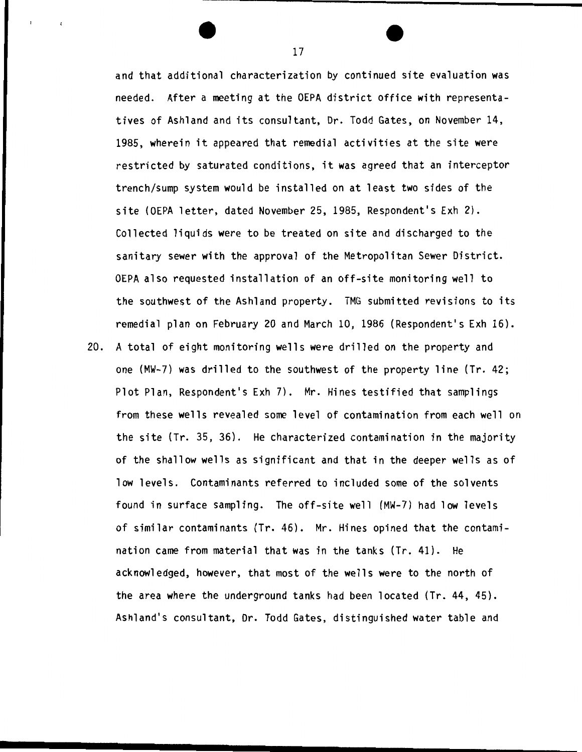and that additional characterization by continued site evaluation was needed. After a meeting at the OEPA district office with representatives of Ashland and its consultant, Dr. Todd Gates, on November 14, 1985, wherein it appeared that remedial activities at the site were restricted by saturated conditions, it was agreed that an interceptor trench/sump system would be installed on at least two sides of the site (OEPA letter, dated November 25, 1985, Respondent's Exh 2). Collected liquids were to be treated on site and discharged to the sanitary sewer with the approval of the Metropolitan Sewer District. OEPA also requested installation of an off-site monitoring well to the southwest of the Ashland property. TMG submitted revisions to its remedial plan on February 20 and March 10, 1986 (Respondent's Exh 16).

20. A total of eight monitoring wells were drilled on the property and one (MW-7) was drilled to the southwest of the property line (Tr. 42; Plot Plan, Respondent's Exh 7). Mr. Hines testified that samplings from these wells revealed some level of contamination from each well on the site (Tr. 35, 36). He characterized contamination in the majority of the shallow wells as significant and that in the deeper wells as of low levels. Contaminants referred to included some of the solvents found in surface sampling. The off-site well (MW-7) had low levels of similar contaminants (Tr. 46). Mr. Hines opined that the contamination came from material that was in the tanks (Tr. 41). He acknowledged, however, that most of the wells were to the north of the area where the underground tanks had been located (Tr. 44, 45). Ashland's consultant, Dr. Todd Gates, distinguished water table and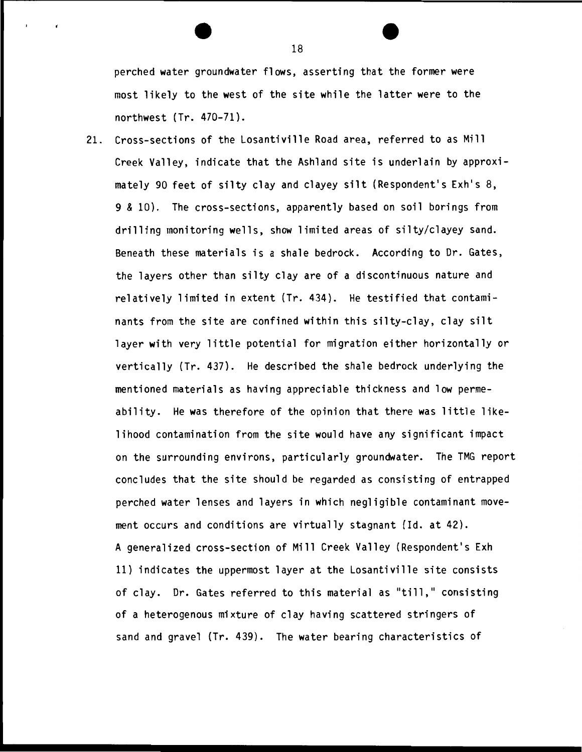perched water groundwater flows, asserting that the former were most likely to the west of the site while the latter were to the northwest (Tr. 470-71).

21. Cross-sections of the Losantiville Road area, referred to as Mill Creek Valley, indicate that the Ashland site is underlain by approximately 90 feet of silty clay and clayey silt (Respondent's Exh's 8, 9 & 10). The cross-sections, apparently based on soil borings from drilling monitoring wells, show limited areas of silty/clayey sand. Beneath these materials is a shale bedrock. According to Dr. Gates, the layers other than silty clay are of a discontinuous nature and relatively limited in extent (Tr. 434). He testified that contaminants from the site are confined within this silty-clay, clay silt layer with very little potential for migration either horizontally or vertically (Tr. 437). He described the shale bedrock underlying the mentioned materials as having appreciable thickness and low permeability. He was therefore of the opinion that there was little likelihood contamination from the site would have any significant impact on the surrounding environs, particularly groundwater. The TMG report concludes that the site should be regarded as consisting of entrapped perched water lenses and layers in which negligible contaminant movement occurs and conditions are virtually stagnant (ld. at 42). A generalized cross-section of Mill Creek Valley (Respondent's Exh 11) indicates the uppermost layer at the Losantiville site consists of clay. Dr. Gates referred to this material as "till," consisting of a heterogenous mixture of clay having scattered stringers of sand and gravel (Tr. 439). The water bearing characteristics of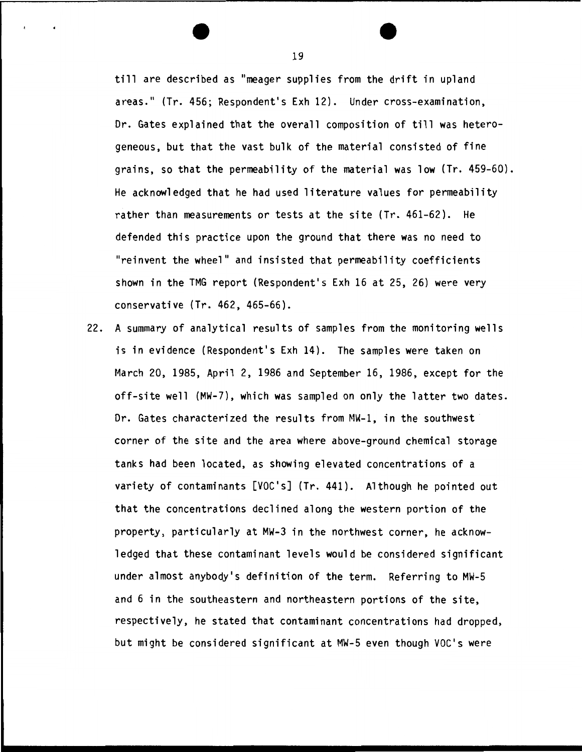till are described as "meager supplies from the drift in upland areas." (Tr. 456; Respondent's Exh 12). Under cross-examination. Dr. Gates explained that the overall composition of till was heterogeneous. but that the vast bulk of the material consisted of fine grains. so that the permeability of the material was low (Tr. 459-60). He acknowledged that he had used literature values for permeability rather than measurements or tests at the site (Tr. 461-62). He defended this practice upon the ground that there was no need to "reinvent the wheel" and insisted that permeability coefficients shown in the TMG report (Respondent's Exh 16 at 25. 26) were very conservative (Tr. 462. 465-66).

22. A summary of analytical results of samples from the monitoring wells is in evidence (Respondent's Exh 14). The samples were taken on March 20. 1985. April 2. 1986 and September 16. 1986. except for the off-site well (MW-7). which was sampled on only the latter two dates. Dr. Gates characterized the results from MW-1. in the southwest corner of the site and the area where above-ground chemical storage tanks had been located. as showing elevated concentrations of a variety of contaminants [VOC's] (Tr. 441). Although he pointed out that the concentrations declined along the western portion of the property. particularly at MW-3 in the northwest corner. he acknowledged that these contaminant levels would be considered significant under almost anybody's definition of the term. Referring to MW-5 and 6 in the southeastern and northeastern portions of the site. respectively. he stated that contaminant concentrations had dropped. but might be considered significant at MW-5 even though VOC's were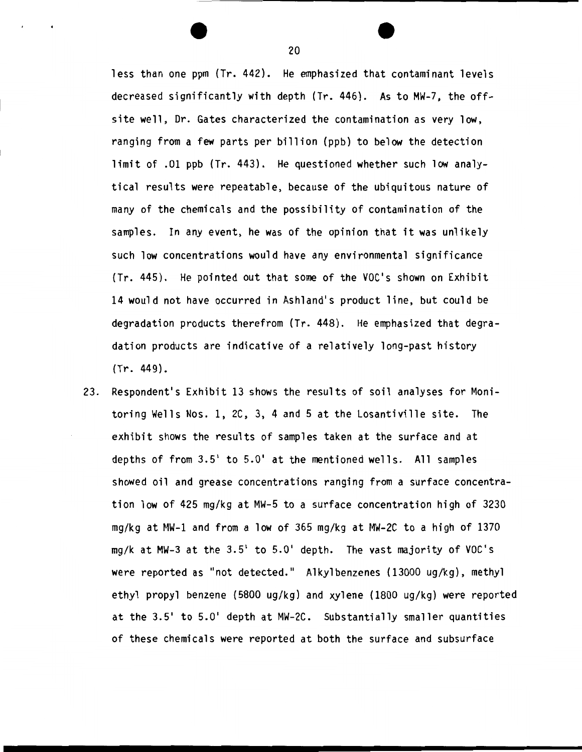less than one ppm (Tr. 442). He emphasized that contaminant levels decreased significantly with depth (Tr. 446). As to MW-7, the offsite well, Dr. Gates characterized the contamination as very low, ranging from a few parts per billion {ppb) to below the detection limit of .01 ppb {Tr. 443). He questioned whether such low analytical results were repeatable, because of the ubiquitous nature of many of the chemicals and the possibility of contamination of the samples. In any event, he was of the opinion that it was unlikely such low concentrations would have any environmental significance {Tr. 445). He pointed out that some of the VOC's shown on Exhibit 14 would not have occurred in Ashland's product line, but could be degradation products therefrom (Tr. 448). He emphasized that degradation products are indicative of a relatively long-past history (Tr. 449).

23. Respondent's Exhibit 13 shows the results of soil analyses for Monitoring Wells Nos. 1, 2C, 3, 4 and 5 at the Losantiville site. The exhibit shows the results of samples taken at the surface and at depths of from 3.5' to 5.0' at the mentioned wells. All samples showed oil and grease concentrations ranging from a surface concentration low of 425 mg/kg at MW-5 to a surface concentration high of 3230 mg/kg at HW-1 and from a low of 365 mg/kg at MW-2C to a high of 1370 mg/k at MW-3 at the 3.5' to 5.0' depth. The vast majority of VOC's were reported as "not detected." Alkylbenzenes {13000 ug/kg), methyl ethyl propyl benzene {5800 ug/kg) and xylene {1800 ug/kg) were reported at the 3.5' to 5.0' depth at MW-2C. Substantially smaller quantities of these chemicals were reported at both the surface and subsurface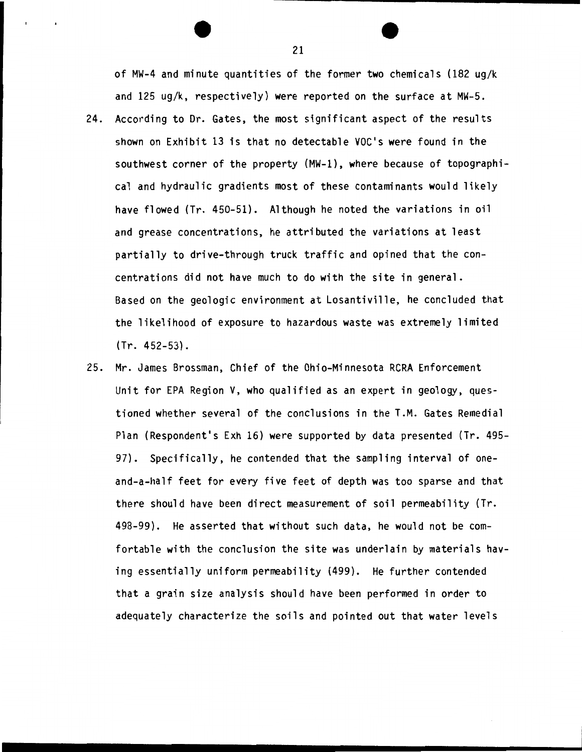of MW-4 and minute quantities of the former two chemicals (182 ug/k and 125 ug/k, respectively) were reported on the surface at MW-5.

- 24. According to Dr. Gates, the most significant aspect of the results shown on Exhibit 13 is that no detectable VOC's were found in the southwest corner of the property (MW-1), where because of topographical and hydraulic gradients most of these contaminants would likely have flowed (Tr. 450-51). Although he noted the variations in oil and grease concentrations, he attributed the variations at least partially to drive-through truck traffic and opined that the concentrations did not have much to do with the site in general. Based on the geologic environment at Losantiville, he concluded that the likelihood of exposure to hazardous waste was extremely limited (Tr. 452-53).
- 25. Mr. James Brossman, Chief of the Ohio-Minnesota RCRA Enforcement Unit for EPA Region V, who qualified as an expert in geology, questioned whether several of the conclusions in the T.M. Gates Remedial Plan (Respondent's Exh 16) were supported by data presented (Tr. 495-97). Specifically, he contended that the sampling interval of oneand-a-half feet for every five feet of depth was too sparse and that there should have been direct measurement of soil permeability (Tr. 498-99). He asserted that without such data, he would not be comfortable with the conclusion the site was underlain by materials having essentially uniform permeability (499). He further contended that a grain size analysis should have been performed in order to adequately characterize the soils and pointed out that water levels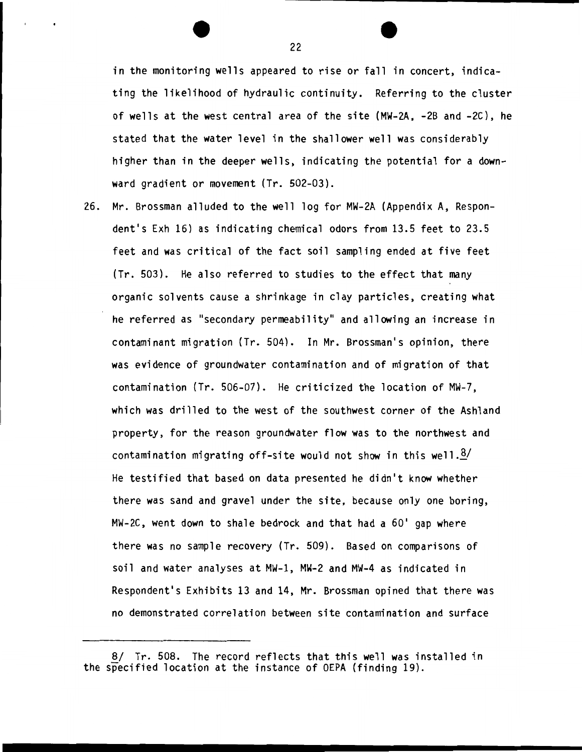in the monitoring wells appeared to rise or fall in concert, indicating the likelihood of hydraulic continuity. Referring to the cluster of wells at the west central area of the site (MW-2A, -2B and -2C), he stated that the water level in the shallower well was considerably higher than in the deeper wells, indicating the potential for a downward gradient or movement (Tr. 502-03).

26. Mr . Brossman alluded to the well log for MW-2A (Appendix A, Respondent's Exh 16) as indicating chemical odors from 13.5 feet to 23.5 feet and was critical of the fact soil sampling ended at five feet (Tr. 503). He also referred to studies to the effect that many organic solvents cause a shrinkage in clay particles, creating what he referred as "secondary permeability" and allowing an increase in contaminant migration (Tr. 504). In Mr. Brossman's opinion, there was evidence of groundwater contamination and of migration of that contamination (Tr. 506-07). He criticized the location of MW-7, which was drilled to the west of the southwest corner of the Ashland property, for the reason groundwater flow was to the northwest and contamination migrating off-site would not show in this well. $\frac{8}{1}$ He testified that based on data presented he didn't know whether there was sand and gravel under the site, because only one boring, MW-2C, went down to shale bedrock and that had a 60' gap where there was no sample recovery (Tr. 509). Based on comparisons of soil and water analyses at MW-1, MW-2 and MW-4 as indicated in Respondent's Exhibits 13 and 14, Mr. Brossman opined that there was no demonstrated correlation between site contamination and surface

<sup>8/</sup> Tr. 508. The record reflects that this well was installed in the specified location at the instance of OEPA (finding 19).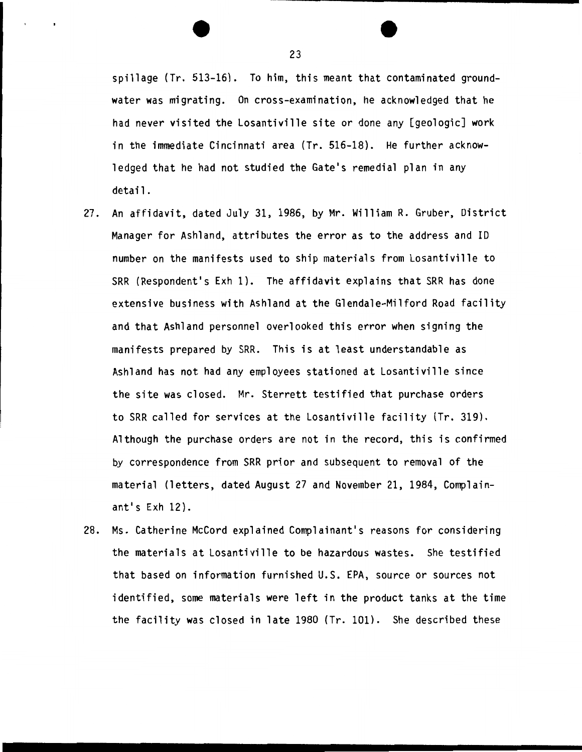spillage (Tr. 513-16). To him, this meant that contaminated groundwater was migrating. On cross-examination, he acknowledged that he had never visited the Losantiville site or done any [geologic] work in the immediate Cincinnati area {Tr. 516-18). He further acknowledged that he had not studied the Gate's remedial plan in any detail.

- 27. An affidavit, dated July 31, 1986, by Mr. William R. Gruber, District Manager for Ashland, attributes the error as to the address and ID number on the manifests used to ship materials from Losantiville to SRR (Respondent's Exh 1). The affidavit explains that SRR has done extensive business with Ashland at the Glendale-Milford Road facility and that Ashland personnel overlooked this error when signing the manifests prepared by SRR. This is at least understandable as Ashland has not had any employees stationed at Losantiville since the site was closed. Mr. Sterrett testified that purchase orders to SRR called for services at the Losantiville facility (Tr. 319). Although the purchase orders are not in the record, this is confirmed by correspondence from SRR prior and subsequent to removal of the material (letters, dated August 27 and November 21, 1984, Complainant<sup> $\frac{1}{5}$ </sup> Exh  $12$ ).
- 28. Ms. Catherine McCord explained Complainant's reasons for considering the materials at Losantiville to be hazardous wastes. She testified that based on information furnished U.S. EPA, source or sources not identified, some materials were left in the product tanks at the time the facility was closed in late 1980 (Tr. 101). She described these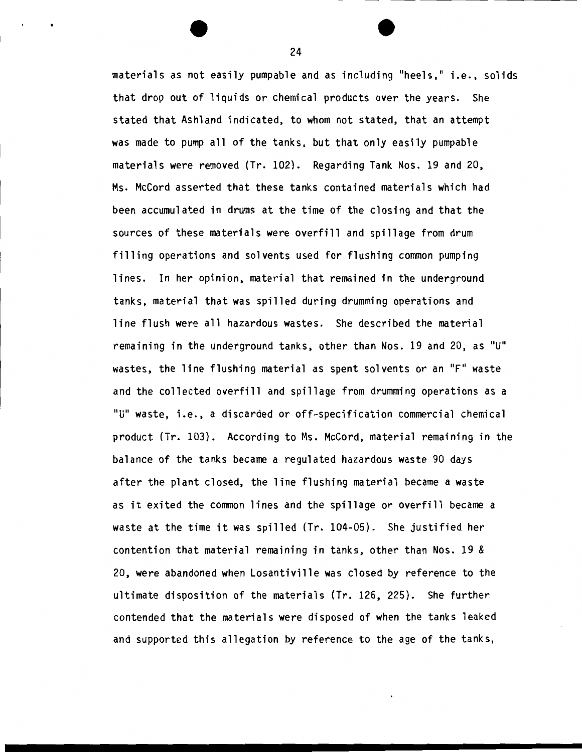materials as not easily pumpable and as including "heels," i.e., solids that drop out of liquids or chemical products over the years. She stated that Ashland indicated, to whom not stated, that an attempt was made to pump all of the tanks, but that only easily pumpable materials were removed {Tr. 102). Regarding Tank Nos. 19 and 20, Ms. McCord asserted that these tanks contained materials which had been accumulated in drums at the time of the closing and that the sources of these materials were overfill and spillage from drum filling operations and solvents used for flushing common pumping lines. In her opinion, material that remained in the underground tanks, material that was spilled during drumming operations and line flush were all hazardous wastes. She described the material remaining in the underground tanks, other than Nos. 19 and 20, as "U" wastes, the line flushing material as spent solvents or an "F" waste and the collected overfill and spillage from drumming operations as a "U" waste, i.e., a discarded or off-specification commercial chemical product {Tr. 103). According to Ms. McCord, material remaining in the balance of the tanks became a regulated hazardous waste 90 days after the plant closed, the line flushing material became a waste as it exited the common lines and the spillage or overfill became a waste at the time it was spilled {Tr. 104-05). She justified her contention that material remaining in tanks, other than Nos. 19 & 20, were abandoned when Losantiville was closed by reference to the ultimate disposition of the materials {Tr. 126, 225). She further contended that the materials were disposed of when the tanks leaked and supported this allegation by reference to the age of the tanks,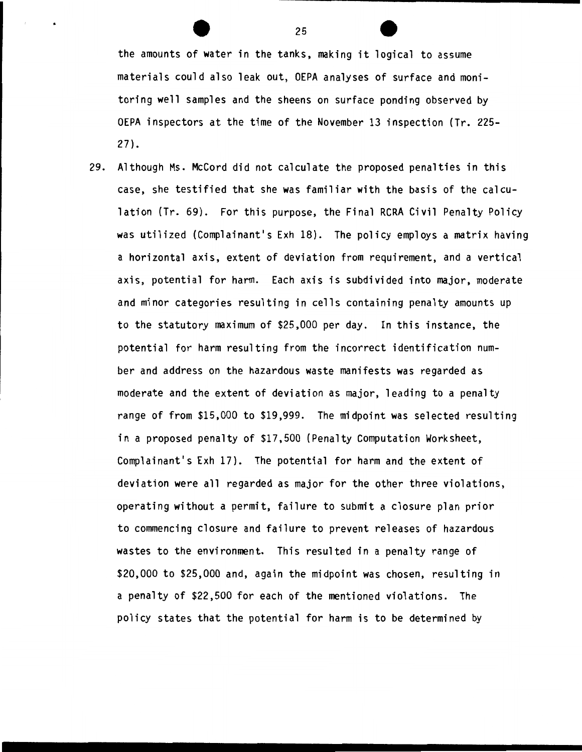the amounts of water in the tanks, making it logical to assume materials could also leak out, OEPA analyses of surface and monitoring well samples and the sheens on surface ponding observed by OEPA inspectors at the time of the November 13 inspection (Tr. 225- 27).

29. Although Ms. McCord did not calculate the proposed penalties in this case, she testified that she was familiar with the basis of the calculation (Tr. 69). For this purpose, the Final RCRA Civil Penalty Policy was utilized (Complainant's Exh 18). The policy employs a matrix having a horizontal axis, extent of deviation from requirement, and a vertical axis, potential for harm. Each axis is subdivided into major, moderate and minor categories resulting in cells containing penalty amounts up to the statutory maximum of \$25,000 per day. In this instance, the potential for harm resulting from the incorrect identification number and address on the hazardous waste manifests was regarded as moderate and the extent of deviation as major, leading to a penalty range of from \$15,000 to \$19,999. The midpoint was selected resulting in a proposed penalty of \$17,500 (Penalty Computation Worksheet, Complainant's Exh 17). The potential for harm and the extent of deviation were all regarded as major for the other three violations, operating without a permit, failure to submit a closure plan prior to commencing closure and failure to prevent releases of hazardous wastes to the environment. This resulted in a penalty range of \$20,000 to \$25,000 and, again the midpoint was chosen, resulting in a penalty of \$22,500 for each of the mentioned violations. The policy states that the potential for harm is to be determined by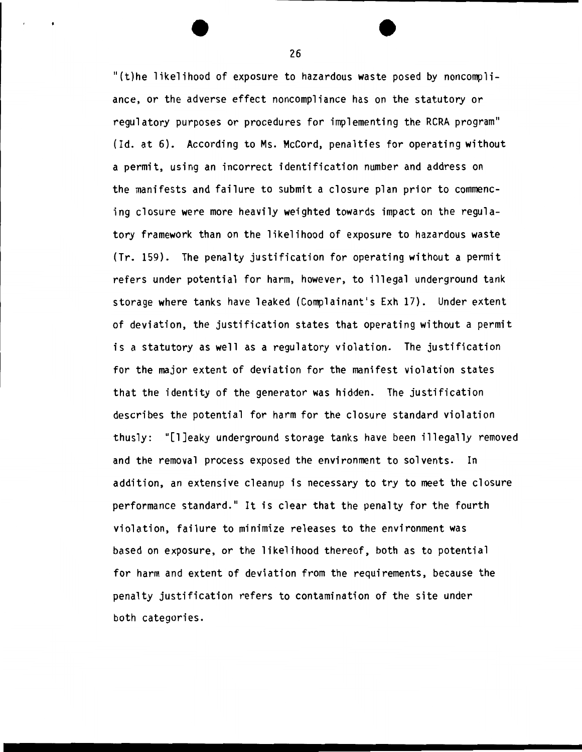"(t)he likelihood of exposure to hazardous waste posed by noncompliance, or the adverse effect noncompliance has on the statutory or regulatory purposes or procedures for implementing the RCRA program" (Id. at 6}. According to Ms. McCord, penalties for operating without a permit, using an incorrect identification number and address on the manifests and failure to submit a closure plan prior to commencing closure were more heavily weighted towards impact on the regulatory framework than on the likelihood of exposure to hazardous waste (Tr. 159}. The penalty justification for operating without a permit refers under potential for harm, however, to illegal underground tank storage where tanks have leaked (Complainant's Exh 17}. Under extent of deviation, the justification states that operating without a permit is a statutory as well as a regulatory violation. The justification for the major extent of deviation for the manifest violation states that the identity of the generator was hidden. The justification describes the potential for harm for the closure standard violation thusly: "[l]eaky underground storage tanks have been illegally removed and the removal process exposed the environment to solvents. In addition, an extensive cleanup is necessary to try to meet the closure performance standard." It is clear that the penalty for the fourth violation, failure to minimize releases to the environment was based on exposure, or the likelihood thereof, both as to potential for harm and extent of deviation from the requirements, because the penalty justification refers to contamination of the site under both categories.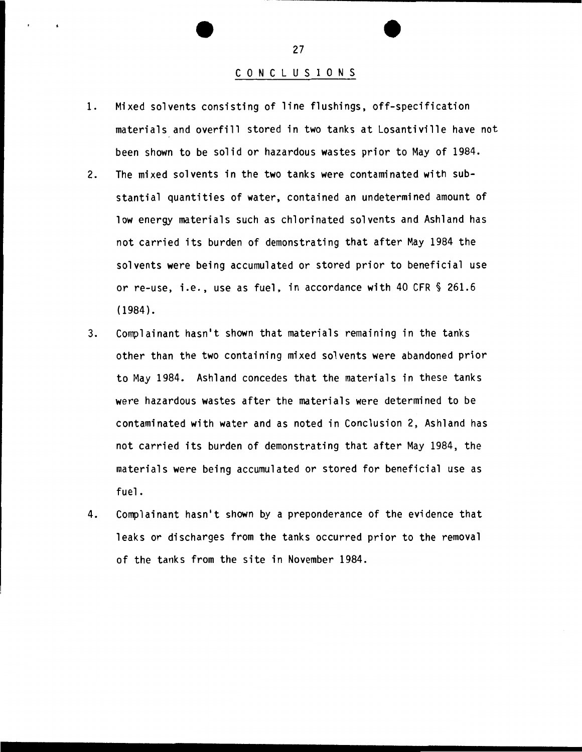#### C 0 N C L U S I 0 N S

- 1. Mixed solvents consisting of line flushings, off-specification materials and overfill stored in two tanks at Losantiville have not been shown to be solid or hazardous wastes prior to May of 1984.
- 2. The mixed solvents in the two tanks were contaminated with substantial quantities of water, contained an undetermined amount of low energy materials such as chlorinated solvents and Ashland has not carried its burden of demonstrating that after May 1984 the solvents were being accumulated or stored prior to beneficial use or re-use, i.e., use as fuel, in accordance with 40 CFR § 261.6 (1984).
- 3. Complainant hasn't shown that materials remaining in the tanks other than the two containing mixed solvents were abandoned prior to May 1984. Ashland concedes that the materials in these tanks were hazardous wastes after the materials were determined to be contaminated with water and as noted in Conclusion 2, Ashland has not carried its burden of demonstrating that after May 1984, the materials were being accumulated or stored for beneficial use as fuel.
- 4. Complainant hasn't shown by a preponderance of the evidence that leaks or discharges from the tanks occurred prior to the removal of the tanks from the site in November 1984 .

........................... \_\_\_\_\_\_\_\_\_\_\_\_\_\_\_\_\_\_ \_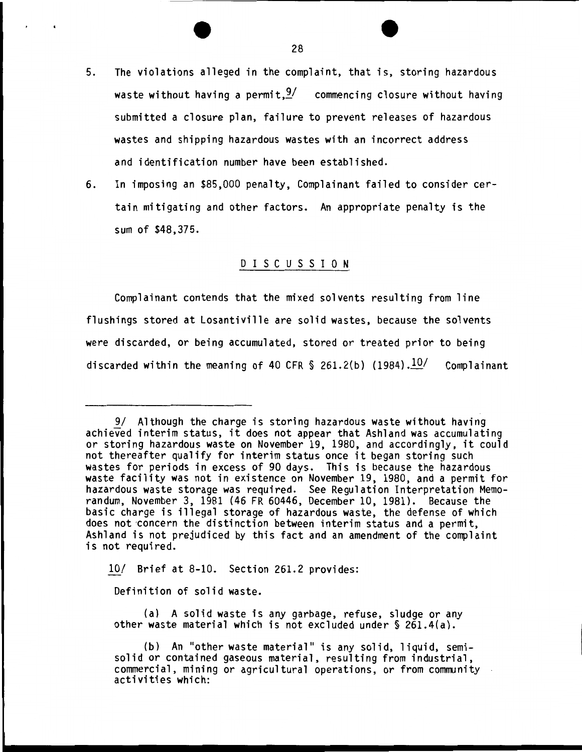- 5. The violations alleged in the complaint, that is, storing hazardous waste without having a permit,  $\frac{9}{2}$  commencing closure without having submitted a closure plan, failure to prevent releases of hazardous wastes and shipping hazardous wastes with an incorrect address and identification number have been established.
- 6. In imposing an \$85,000 penalty, Complainant failed to consider certain mitigating and other factors. An appropriate penalty is the sum of \$48,375.

### D I S C U S S I 0 N

Complainant contends that the mixed solvents resulting from line flushings stored at Losantiville are solid wastes, because the solvents were discarded, or being accumulated, stored or treated prior to being discarded within the meaning of 40 CFR  $\$  261.2(b) (1984). $\frac{10}{ }$  Complainant

10/ Brief at 8-10. Section 261.2 provides:

Definition of solid waste.

(a) A solid waste is any garbage, refuse, sludge or any other waste material which is not excluded under§ 261.4(a).

<sup>9/</sup> Although the charge is storing hazardous waste without having achieved interim status, it does not appear that Ashland was accumulating or storing hazardous waste on November 19, 1980, and accordingly, it could not thereafter qualify for interim status once it began storing such wastes for periods in excess of 90 days. This is because the hazardous waste facility was not in existence on November 19, 1980, and a permit for hazardous waste storage was required. See Regulation Interpretation Memorandum, November 3, 1981 {46 FR 60446, December 10, 1981). Because the basic charge is illegal storage of hazardous waste, the defense of which does not 'Concern the distinction between interim status and a permit, Ashland is not prejudiced by this fact and an amendment of the complaint<br>is not required.

<sup>{</sup>b) An "other waste material" is any solid, liquid, semisolid or contained gaseous material, resulting from industrial, commercial, mining or agricultural operations, or from community activities which: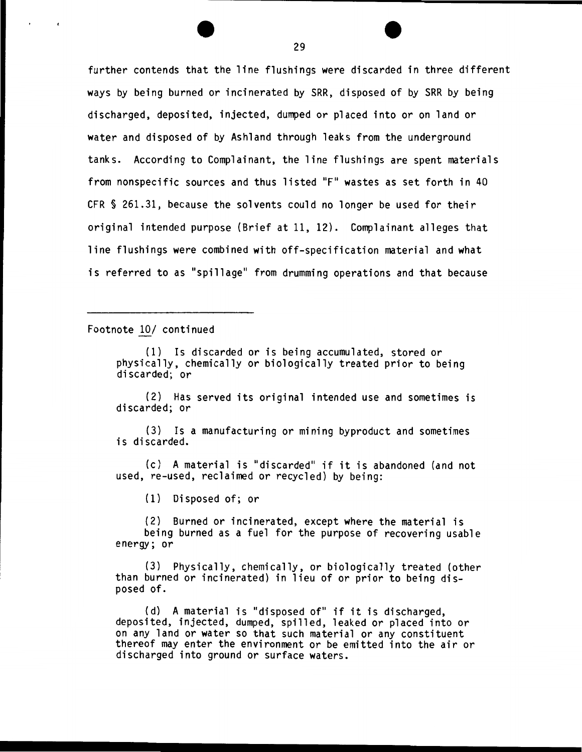further contends that the line flushings were discarded in three different ways by being burned or incinerated by SRR, disposed of by SRR by being discharged, deposited, injected, dumped or placed into or on land or water and disposed of by Ashland through leaks from the underground tanks. According to Complainant, the line flushings are spent materials from nonspecific sources and thus listed "F" wastes as set forth in 40 CFR § 261.31, because the solvents could no longer be used for their original intended purpose (Brief at 11, 12). Complainant alleges that line flushings were combined with off-specification material and what is referred to as "spillage" from drumming operations and that because

Footnote 10/ continued

(1) Is discarded or is being accumulated, stored or physically, chemically or biologically treated prior to being discarded; or

(2) Has served its original intended use and sometimes is discarded; or

(3) Is a manufacturing or mining byproduct and sometimes is discarded.

(c) A material is "discarded" if it is abandoned (and not used, re-used, reclaimed or recycled) by being:

(1) Disposed of; or

(2) Burned or incinerated, except where the material is being burned as a fuel for the purpose of recovering usable energy; or

(3) Physically, chemically, or biologically treated (other than burned or incinerated) in lieu of or prior to being disposed of.

(d) A material is "disposed of" if it is discharged, deposited, injected, dumped, spilled, leaked or placed into or on any land or water so that such material or any constituent thereof may enter the environment or be emitted into the air or discharged into ground or surface waters .

............................... \_\_\_\_\_\_\_\_\_\_\_\_\_\_ \_\_\_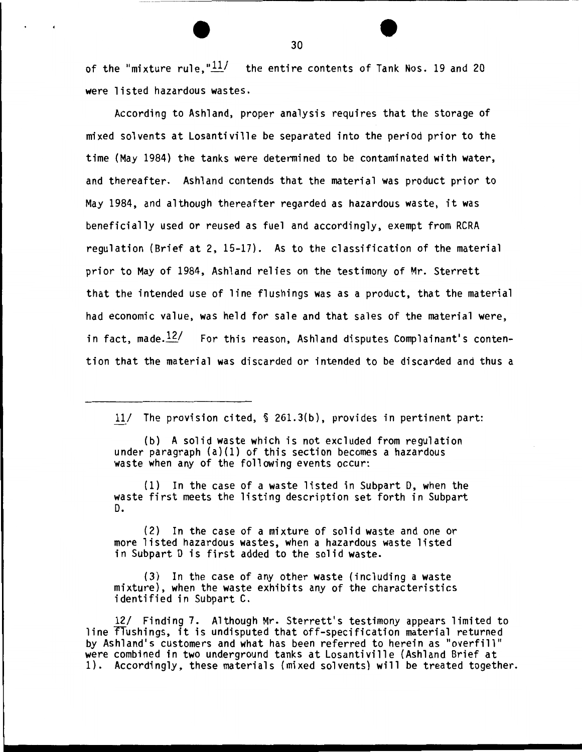of the "mixture rule," $\frac{11}{1}$  the entire contents of Tank Nos. 19 and 20 were listed hazardous wastes.

According to Ashland, proper analysis requires that the storage of mixed solvents at Losantiville be separated into the period prior to the time (May 1984} the tanks were determined to be contaminated with water, and thereafter. Ashland contends that the material was product prior to May 1984, and although thereafter regarded as hazardous waste, it was beneficially used or reused as fuel and accordingly, exempt from RCRA regulation (Brief at 2, 15-17}. As to the classification of the material prior to May of 1984, Ashland relies on the testimony of Mr. Sterrett that the intended use of line flushings was as a product, that the material had economic value, was held for sale and that sales of the material were, in fact, made. $12/$  For this reason, Ashland disputes Complainant's contention that the material was discarded or intended to be discarded and thus a

11/ The provision cited, § 261.3(b}, provides in pertinent part:

(b) A solid waste which is not excluded from regulation under paragraph (a}(1} of this section becomes a hazardous waste when any of the following events occur:

(1} In the case of a waste listed in Subpart D, when the waste first meets the listing description set forth in Subpart D.

(2} In the case of a mixture of solid waste and one or more listed hazardous wastes, when a hazardous waste listed in Subpart D is first added to the solid waste.

(3} In the case of any other waste (including a waste mixture}, when the waste exhibits any of the characteristics identified in Subpart C.

12/ Finding 7. Although Mr. Sterrett's testimony appears limited to line flushings, it is undisputed that off-specification material returned by Ashland's customers and what has been referred to herein as "overfill" were combined in two underground tanks at Losantiville (Ashland Brief at 1}. Accordingly, these materials (mixed solvents) will be treated together.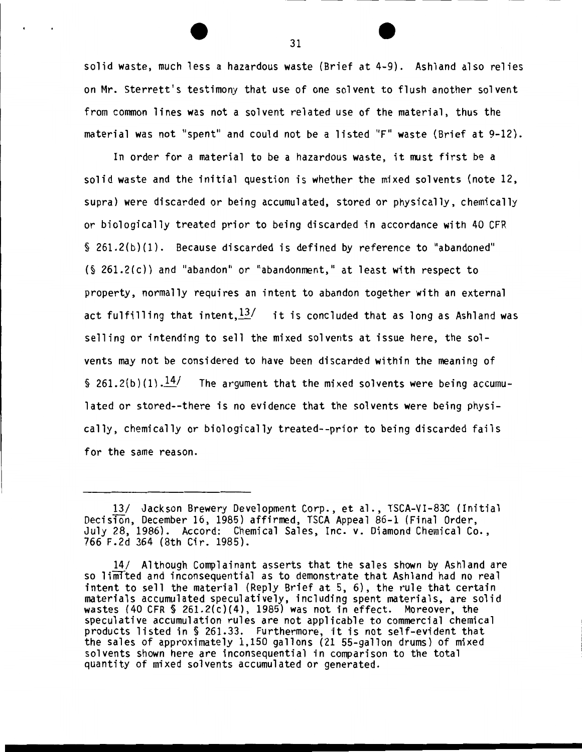solid waste, much less a hazardous waste (Brief at 4-9). Ashland also relies on Mr. Sterrett's testimony that use of one solvent to flush another solvent from common lines was not a solvent related use of the material, thus the material was not "spent" and could not be a listed "F" waste (Brief at 9-12).

In order for a material to be a hazardous waste, it must first be a solid waste and the initial question is whether the mixed solvents (note 12, supra) were discarded or being accumulated, stored or physically, chemically or biologically treated prior to being discarded in accordance with 40 CFR § 261. 2( b) (1). Because discarded is defined by reference to "abandoned" (§ 261.2(c)) and "abandon" or "abandonment," at least with respect to property, normally requires an intent to abandon together with an external act fulfilling that intent.  $\frac{13}{1}$  it is concluded that as long as Ashland was selling or intending to sell the mixed solvents at issue here, the solvents may not be considered to have been discarded within the meaning of  $$ 261.2(b)(1).$ <sup>14</sup>/ The argument that the mixed solvents were being accumulated or stored--there is no evidence that the solvents were being physically, chemically or biologically treated--prior to being discarded fails for the same reason.

<sup>13/</sup> Jackson Brewery Development Corp., et al., TSCA-VI-83C (Initial Decision, December 16, 1985) affirmed, TSCA Appeal 86-1 (Final Order, July 28, 1986). Accord: Chemical Sales, Inc. v. Diamond Chemical Co., 766 F.2d 364 (8th Cir. 1985).

<sup>14/</sup> Although Complainant asserts that the sales shown by Ashland are so liffifted and inconsequential as to demonstrate that Ashland had no real intent to sell the material (Reply Brief at 5, 6), the rule that certain materials accumulated speculatively, including spent materials, are solid wastes (40 CFR § 261.2(c)(4), 1985) was not in effect. Moreover, the speculative accumulation rules are not applicable to commercial chemical products listed in § 261.33. Furthermore, it is not self-evident that the sales of approximately 1,150 gallons (21 55-gallon drums) of mixed solvents shown here are inconsequential in comparison to the total quantity of mixed solvents accumulated or generated.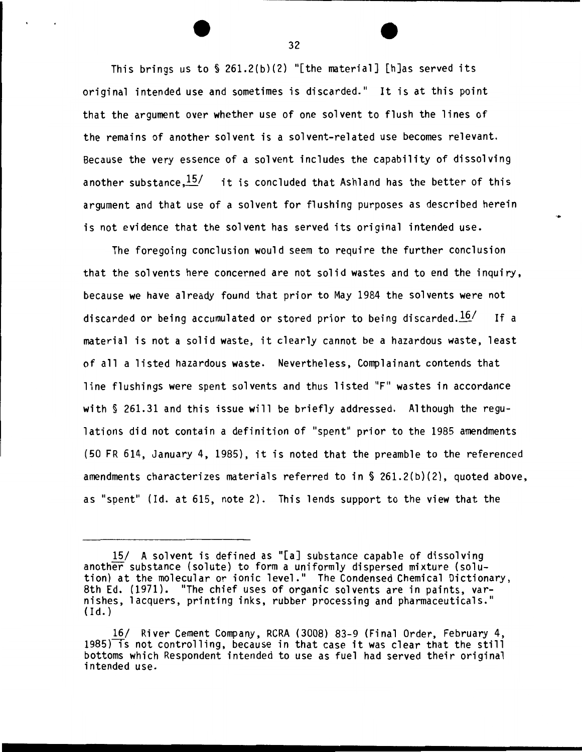This brings us to  $\S$  261.2(b)(2) "[the material] [h]as served its original intended use and sometimes is discarded." It is at this point that the argument over whether use of one solvent to flush the lines of the remains of another solvent is a solvent-related use becomes relevant. Because the very essence of a solvent includes the capability of dissolving another substance,  $15/$  it is concluded that Ashland has the better of this argument and that use of a solvent for flushing purposes as described herein is not evidence that the solvent has served its original intended use.

.

The foregoing conclusion would seem to require the further conclusion that the solvents here concerned are not solid wastes and to end the inquiry, because we have already found that prior to May 1984 the solvents were not discarded or being accumulated or stored prior to being discarded. $\frac{16}{ }$  If a material is not a solid waste, it clearly cannot be a hazardous waste, least of all a listed hazardous waste. Nevertheless, Complainant contends that line flushings were spent solvents and thus listed "F" wastes in accordance with § 261.31 and this issue will be briefly addressed. Although the regulations did not contain a definition of "spent" prior to the 1985 amendments (50 FR 614, January 4, 1985), it is noted that the preamble to the referenced amendments characterizes materials referred to in§ 261.2(b)(2), quoted above, as "spent" (Id. at 615, note 2). This lends support to the view that the

<sup>15/</sup> A solvent is defined as "[a] substance capable of dissolving another substance (solute) to form a uniformly dispersed mixture (solution) at the molecular or ionic level." The Condensed Chemical Dictionary, 8th Ed. (1971). "The chief uses of organic solvents are in paints, varnishes, lacquers, printing inks, rubber processing and pharmaceuticals."  $(Id.)$ 

<sup>16/</sup> River Cement Company, RCRA (3008) 83-9 (Final Order, February 4, 1985) is not controlling, because in that case it was clear that the still bottoms which Respondent intended to use as fuel had served their original intended use.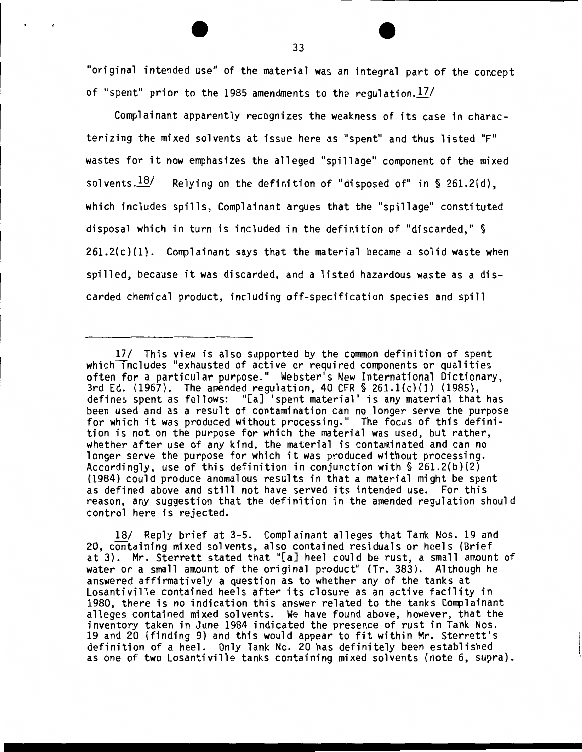"original intended use" of the material was an integral part of the concept of "spent" prior to the 1985 amendments to the regulation.  $17/$ 

Complainant apparently recognizes the weakness of its case in characterizing the mixed solvents at issue here as "spent" and thus listed "F" wastes for it now emphasizes the alleged "spillage" component of the mixed solvents. $18/$  Relying on the definition of "disposed of" in § 261.2(d), which includes spills, Complainant argues that the "spillage" constituted disposal which in turn is included in the definition of "discarded," §  $261.2(c)(1)$ . Complainant says that the material became a solid waste when spilled, because it was discarded, and a listed hazardous waste as a discarded chemical product, including off-specification species and spill

18/ Reply brief at 3-5. Complainant alleges that Tank Nos. 19 and 20, containing mixed solvents, also contained residuals or heels (Brief at 3). Mr. Sterrett stated that "[a] heel could be rust, a small amount of water or a small amount of the original product" (Tr. 383). Although he answered affirmatively a question as to whether any of the tanks at losantiville contained heels after its closure as an active facility in 1980, there is no indication this answer related to the tanks Complainant alleges contained mixed solvents. We have found above, however, that the inventory taken in June 1984 indicated the presence of rust in Tank Nos. 19 and 20 (finding 9) and this would appear to fit within Mr. Sterrett's definition of a heel. Only Tank No. 20 has definitely been established as one of two Losantiville tanks containing mixed solvents (note 6, supra).

<sup>17/</sup> This view is also supported by the common definition of spent which includes "exhausted of active or required components or qualities often for a particular purpose." Webster's New International Dictionary, 3rd Ed. (1967). The amended regulation, 40 CFR § 261.l(c)(l) (1985), defines spent as follows: "[a] 'spent material' is any material that has been used and as a result of contamination can no longer serve the purpose for which it was produced without processing." The focus of this definition is not on the purpose for which the material was used, but rather, whether after use of any kind, the material is contaminated and can no longer serve the purpose for which it was produced without processing. Accordingly, use of this definition in conjunction with  $\S$  261.2(b)(2) (1984) could produce anomalous results in that a material might be spent as defined above and still not have served its intended use. For this reason, any suggestion that the definition in the amended regulation should control here is rejected.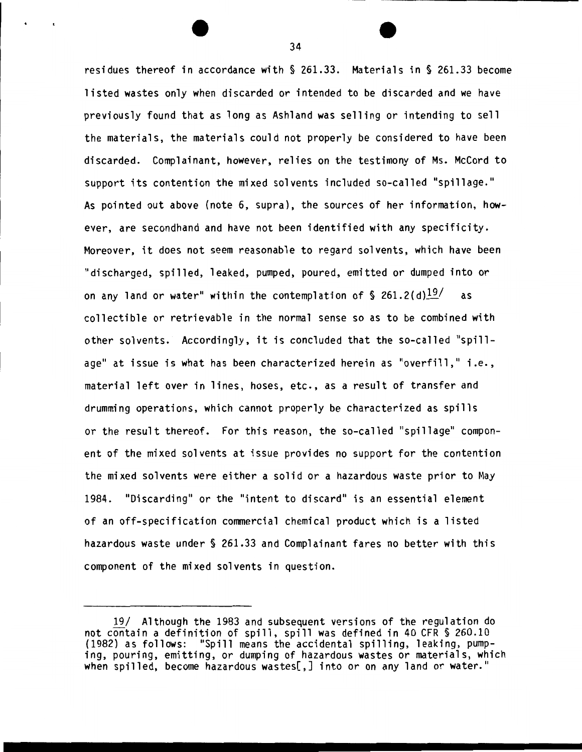residues thereof in accordance with § 261.33. Materials in § 261.33 become listed wastes only when discarded or intended to be discarded and we have previously found that as long as Ashland was selling or intending to sell the materials, the materials could not properly be considered to have been discarded. Complainant, however, relies on the testimony of Ms. McCord to support its contention the mixed solvents included so-called "spillage." As pointed out above (note 6, supra), the sources of her information, however, are secondhand and have not been identified with any specificity. Moreover, it does not seem reasonable to regard solvents, which have been "discharged, spilled, leaked, pumped, poured, emitted or dumped into or on any land or water" within the contemplation of  $\$  261.2(d) $\frac{19}{ }$  as collectible or retrievable in the normal sense so as to be combined with other solvents. Accordingly, it is concluded that the so-called "spillage" at issue is what has been characterized herein as "overfill," i.e., material left over in lines, hoses, etc., as a result of transfer and drumming operations, which cannot properly be characterized as spills or the result thereof. For this reason, the so-called "spillage" component of the mixed solvents at issue provides no support for the contention the mixed solvents were either a solid or a hazardous waste prior to May 1984. "Discarding" or the "intent to discard" is an essential element of an off-specification commercial chemical product which is a listed hazardous waste under § 261.33 and Complainant fares no better with this component of the mixed solvents in question.

<sup>19/</sup> Although the 1983 and subsequent versions of the regulation do not contain a definition of spill, spill was defined in 40 CFR § 260.10 (1982) as follows: "Spill means the accidental spilling, leaking, pumping, pouring, emitting, or dumping of hazardous wastes or materials, which when spilled, become hazardous wastes[,] into or on any land or water."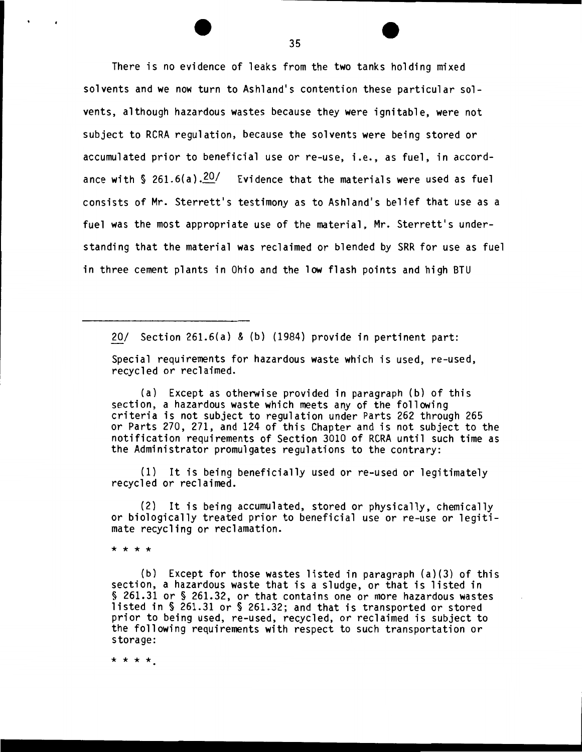There is no evidence of leaks from the two tanks holding mixed solvents and we now turn to Ashland's contention these particular solvents, although hazardous wastes because they were ignitable, were not subject to RCRA regulation, because the solvents were being stored or accumulated prior to beneficial use or re-use, i.e., as fuel, in accordance with  $\frac{6}{9}$  261.6(a),  $\frac{20}{10}$  Evidence that the materials were used as fuel consists of Mr. Sterrett's testimony as to Ashland's belief that use as a fuel was the most appropriate use of the material, Mr. Sterrett's understanding that the material was reclaimed or blended by SRR for use as fuel in three cement plants in Ohio and the low flash points and high BTU

20/ Section 261.6(a) & (b) (1984) provide in pertinent part:

Special requirements for hazardous waste which is used, re-used, recycled or reclaimed.

(a) Except as otherwise provided in paragraph (b) of this section, a hazardous waste which meets any of the following criteria is not subject to regulation under Parts 262 through 265 or Parts 270, 271, and 124 of this Chapter and is not subject to the notification requirements of Section 3010 of RCRA until such time as the Administrator promulgates regulations to the contrary:

(1) It is being beneficially used or re-used or legitimately recycled or reclaimed.

(2) It is being accumulated, stored or physically, chemically or biologically treated prior to beneficial use or re-use or legitimate recycling or reclamation.

\* \* \* \*

(b) Except for those wastes listed in paragraph (a)(3) of this section, a hazardous waste that is a sludge, or that is listed in § 261.31 or § 261.32, or that contains one or more hazardous wastes listed in § 261.31 or § 261.32; and that is transported or stored prior to being used, re-used, recycled, or reclaimed is subject to the following requirements with respect to such transportation or storage:

\* \* \* \*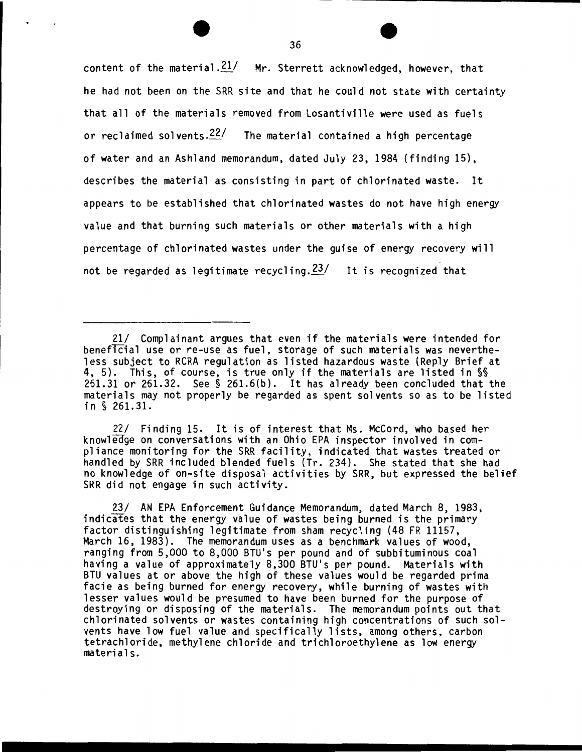content of the material. $\frac{21}{\ }$  Mr. Sterrett acknowledged, however, that he had not been on the SRR site and that he could not state with certainty that all of the materials removed from Losantiville were used as fuels or reclaimed solvents.<sup>22/</sup> The material contained a high percentage of water and an Ashland memorandum, dated July 23, 1984 (finding 15), describes the material as consisting in part of chlorinated waste. It appears to be established that chlorinated wastes do not have high energy value and that burning such materials or other materials with a high percentage of chlorinated wastes under the guise of energy recovery will not be regarded as legitimate recycling. $23/$  It is recognized that

22/ Finding 15. It is of interest that Ms. McCord, who based her knowleage on conversations with an Ohio EPA inspector involved in compliance monitoring for the SRR facility, indicated that wastes treated or handled by SRR included blended fuels (Tr. 234). She stated that she had no knowledge of on-site disposal activities by SRR, but expressed the belief SRR did not engage in such activity.

23/ AN EPA Enforcement Guidance Memorandum, dated March 8, 1983, indicates that the energy value of wastes being burned is the primary factor distinguishing legitimate from sham recycling (48 FR 11157, March 16, 1983). The memorandum uses as a benchmark values of wood, ranging from 5,000 to 8,000 BTU's per pound and of subbituminous coal having a value of approximately 8,300 BTU's per pound. Materials with BTU values at or above the high of these values would be regarded prima facie as being burned for energy recovery, while burning of wastes with lesser values would be presumed to have been burned for the purpose of destroying or disposing of the materials. The memorandum points out that chlorinated solvents or wastes containing high concentrations of such solvents have low fuel value and specifically lists, among others, carbon tetrachloride, methylene chloride and trichloroethylene as low energy materials.

<sup>21/</sup> Complainant argues that even if the materials were intended for beneficial use or re-use as fuel, storage of such materials was nevertheless subject to RCRA regulation as listed hazardous waste (Reply Brief at 4, 5). This, of course, is true only if the materials are listed in§§ 261.31 or 261.32. See§ 261.6(b). It has already been concluded that the materials may not properly be regarded as spent solvents so as to be listed in § 261.31.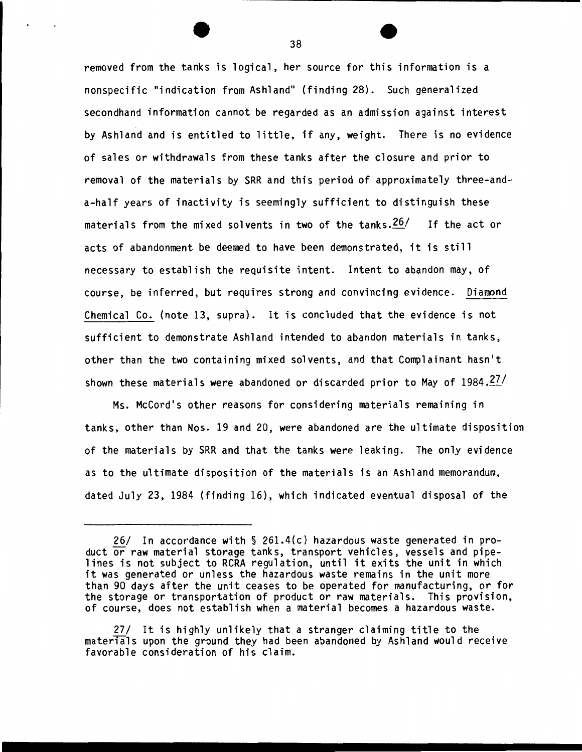removed from the tanks is logical, her source for this information is a nonspecific "indication from Ashland'' (finding 28). Such generalized secondhand information cannot be regarded as an admission against interest by Ashland and is entitled to little, if any, weight. There is no evidence of sales or withdrawals from these tanks after the closure and prior to removal of the materials by SRR and this period of approximately three-anda-half years of inactivity is seemingly sufficient to distinguish these materials from the mixed solvents in two of the tanks. $26/$  If the act or acts of abandonment be deemed to have been demonstrated, it is still necessary to establish the requisite intent. Intent to abandon may, of course, be inferred, but requires strong and convincing evidence. Diamond Chemical Co. (note 13, supra). It is concluded that the evidence is not sufficient to demonstrate Ashland intended to abandon materials in tanks, other than the two containing mixed solvents, and that Complainant hasn't shown these materials were abandoned or discarded prior to May of  $1984.27/$ 

Ms. McCord's other reasons for considering materials remaining in tanks, other than Nos. 19 and 20, were abandoned are the ultimate disposition of the materials by SRR and that the tanks were leaking. The only evidence as to the ultimate disposition of the materials is an Ashland memorandum, dated July 23, 1984 (finding 16), which indicated eventual disposal of the

<sup>26/</sup> In accordance with § 261.4(c) hazardous waste generated in product or raw material storage tanks, transport vehicles, vessels and pipe-<br>lines is not subject to RCRA regulation, until it exits the unit in which it was generated or unless the hazardous waste remains in the unit more than 90 days after the unit ceases to be operated for manufacturing, or for the storage or transportation of product or raw materials. This provision, of course, does not establish when a material becomes a hazardous waste.

<sup>27/</sup> It is highly unlikely that a stranger claiming title to the materials upon the ground they had been abandoned by Ashland would receive favorable consideration of his claim.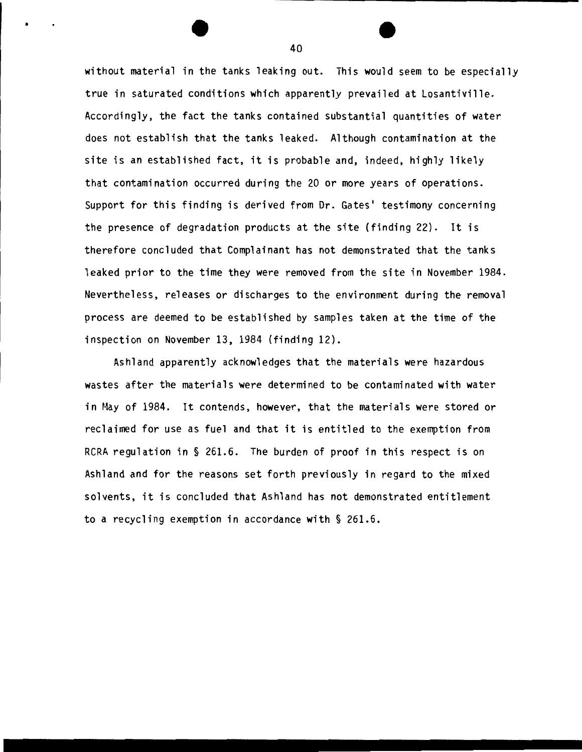without material in the tanks leaking out. This would seem to be especially true in saturated conditions which apparently prevailed at Losantiville. Accordingly, the fact the tanks contained substantial quantities of water does not establish that the tanks leaked. Although contamination at the site is an established fact, it is probable and, indeed, highly likely that contamination occurred during the 20 or more years of operations. Support for this finding is derived from Dr. Gates' testimony concerning the presence of degradation products at the site (finding 22). It is therefore concluded that Complainant has not demonstrated that the tanks leaked prior to the time they were removed from the site in November 1984. Nevertheless, releases or discharges to the environment during the removal process are deemed to be established by samples taken at the time of the inspection on November 13, 1984 (finding 12).

Ashland apparently acknowledges that the materials were hazardous wastes after the materials were determined to be contaminated with water in May of 1984. It contends, however, that the materials were stored or reclaimed for use as fuel and that it is entitled to the exemption from RCRA regulation in § 261.6. The burden of proof in this respect is on Ashland and for the reasons set forth previously in regard to the mixed solvents, it is concluded that Ashland has not demonstrated entitlement to a recycling exemption in accordance with § 261.6.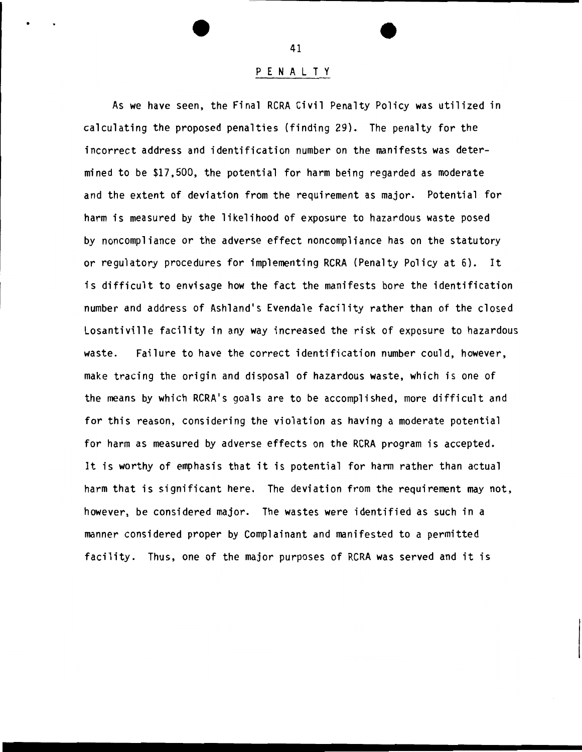#### P E N A L T Y

As we have seen, the Final RCRA Civil Penalty Policy was utilized in calculating the proposed penalties (finding 29). The penalty for the incorrect address and identification number on the manifests was determined to be \$17,500, the potential for harm being regarded as moderate and the extent of deviation from the requirement as major. Potential for harm is measured by the likelihood of exposure to hazardous waste posed by noncompliance or the adverse effect noncompliance has on the statutory or regulatory procedures for implementing RCRA (Penalty Policy at 6). It is difficult to envisage how the fact the manifests bore the identification number and address of Ashland's Evendale facility rather than of the closed Losantiville facility in any way increased the risk of exposure to hazardous waste. Failure to have the correct identification number could, however, make tracing the origin and disposal of hazardous waste, which is one of the means by which RCRA's goals are to be accomplished, more difficult and for this reason, considering the violation as having a moderate potential for harm as measured by adverse effects on the RCRA program is accepted. It is worthy of emphasis that it is potential for harm rather than actual harm that is significant here. The deviation from the requirement may not, however, be considered major. The wastes were identified as such in a manner considered proper by Complainant and manifested to a permitted facility. Thus, one of the major purposes of RCRA was served and it is

41

•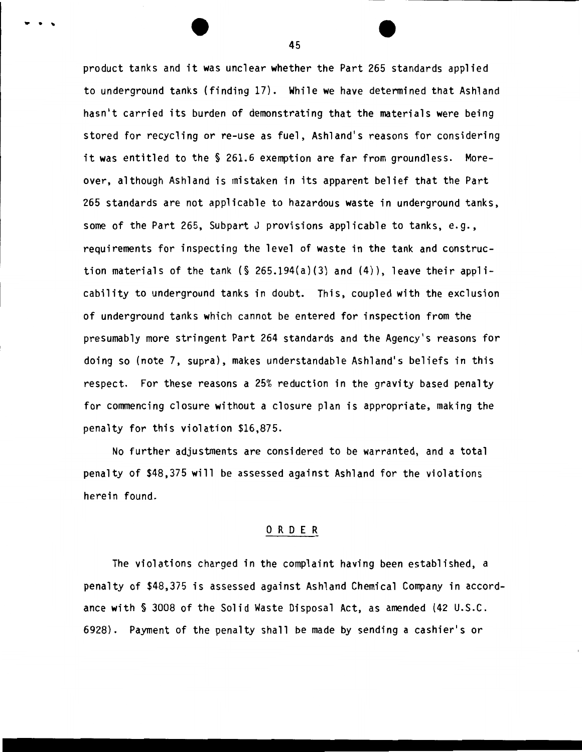product tanks and it was unclear whether the Part 265 standards applied to underground tanks (finding 17). While we have determined that Ashland hasn't carried its burden of demonstrating that the materials were being stored for recycling or re-use as fuel, Ashland's reasons for considering it was entitled to the § 261.6 exemption are far from groundless. Moreover, although Ashland is mistaken in its apparent belief that the Part 265 standards are not applicable to hazardous waste in underground tanks, some of the Part 265, Subpart J provisions applicable to tanks, e.g., requirements for inspecting the level of waste in the tank and construction materials of the tank  $(\S$  265.194(a)(3) and  $(4)$ ), leave their applicability to underground tanks in doubt. This, coupled with the exclusion of underground tanks which cannot be entered for inspection from the presumably more stringent Part 264 standards and the Agency's reasons for doing so (note 7, supra), makes understandable Ashland's beliefs in this respect. For these reasons a 25% reduction in the gravity based penalty for commencing closure without a closure plan is appropriate, making the penalty for this violation \$16,875.

No further adjustments are considered to be warranted, and a total penalty of \$48,375 will be assessed against Ashland for the violations herein found.

#### 0 R D E R

The violations charged in the complaint having been established, a penalty of \$48,375 is assessed against Ashland Chemical Company in accordance with § 3008 of the Solid Waste Disposal Act, as amended (42 u.s.c. 6928). Payment of the penalty shall be made by sending a cashier's or